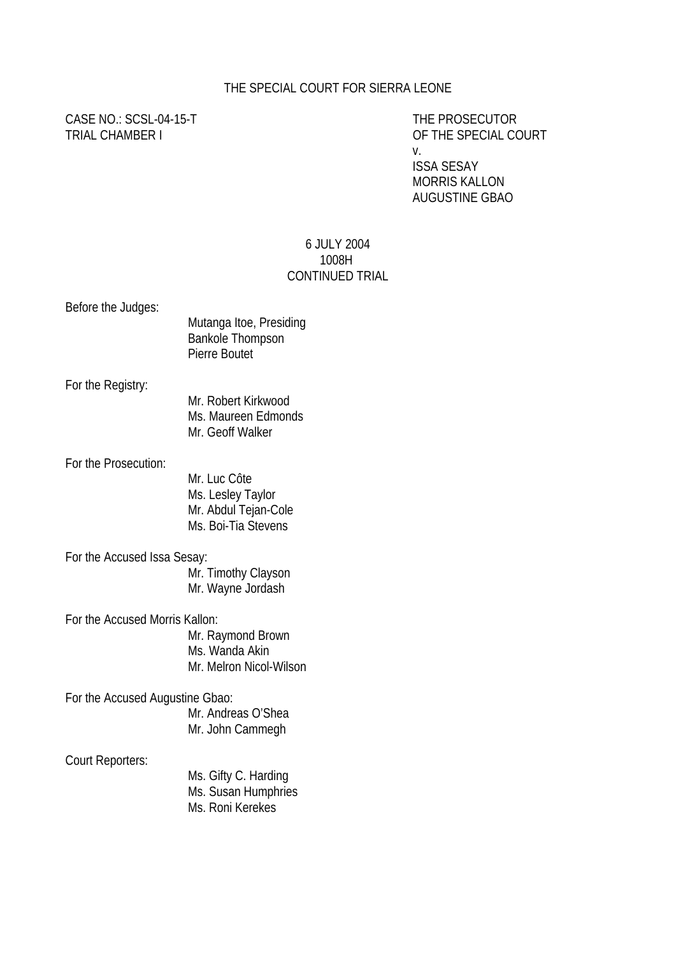## THE SPECIAL COURT FOR SIERRA LEONE

CASE NO.: SCSL-04-15-T THE PROSECUTOR

TRIAL CHAMBER I OF THE SPECIAL COURT v. ISSA SESAY

 MORRIS KALLON AUGUSTINE GBAO

## 6 JULY 2004 1008H CONTINUED TRIAL

| Before the Judges:              | Mutanga Itoe, Presiding<br><b>Bankole Thompson</b><br>Pierre Boutet              |
|---------------------------------|----------------------------------------------------------------------------------|
| For the Registry:               | Mr. Robert Kirkwood<br>Ms. Maureen Edmonds<br>Mr. Geoff Walker                   |
| For the Prosecution:            | Mr. Luc Côte<br>Ms. Lesley Taylor<br>Mr. Abdul Tejan-Cole<br>Ms. Boi-Tia Stevens |
| For the Accused Issa Sesay:     |                                                                                  |
|                                 | Mr. Timothy Clayson<br>Mr. Wayne Jordash                                         |
| For the Accused Morris Kallon:  |                                                                                  |
|                                 | Mr. Raymond Brown<br>Ms. Wanda Akin<br>Mr. Melron Nicol-Wilson                   |
| For the Accused Augustine Gbao: | Mr. Andreas O'Shea<br>Mr. John Cammegh                                           |
| Court Reporters:                | Ms. Gifty C. Harding<br>Ms. Susan Humphries<br>Ms. Roni Kerekes                  |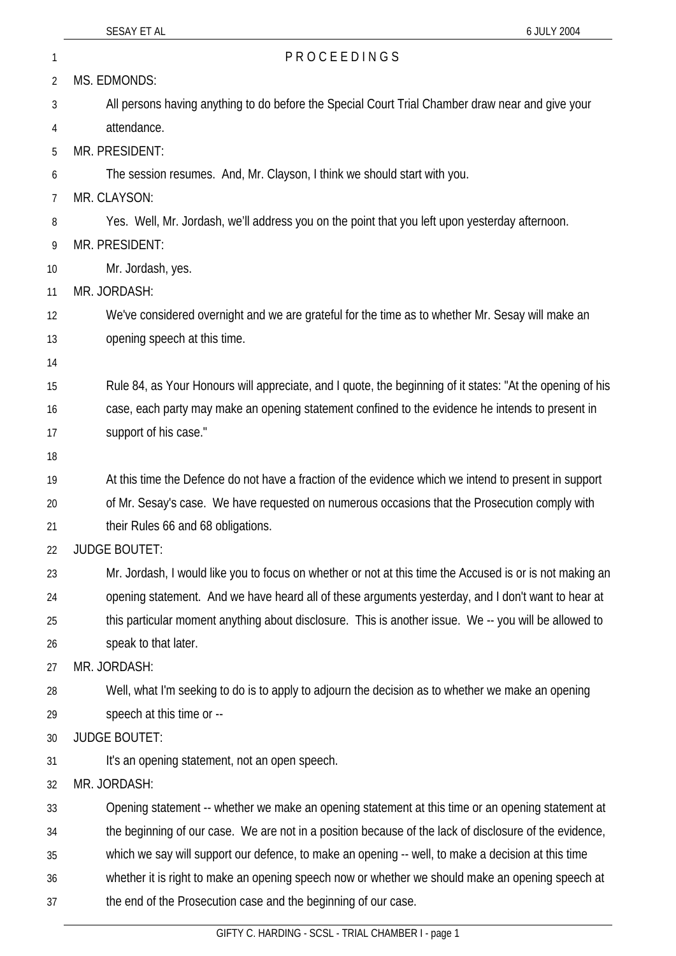| 1        | PROCEEDINGS                                                                                               |
|----------|-----------------------------------------------------------------------------------------------------------|
| 2        | MS. EDMONDS:                                                                                              |
| 3        | All persons having anything to do before the Special Court Trial Chamber draw near and give your          |
| 4        | attendance.                                                                                               |
| 5        | MR. PRESIDENT:                                                                                            |
| 6        | The session resumes. And, Mr. Clayson, I think we should start with you.                                  |
| 7        | MR. CLAYSON:                                                                                              |
| 8        | Yes. Well, Mr. Jordash, we'll address you on the point that you left upon yesterday afternoon.            |
| 9        | MR. PRESIDENT:                                                                                            |
| 10       | Mr. Jordash, yes.                                                                                         |
| 11       | MR. JORDASH:                                                                                              |
| 12       | We've considered overnight and we are grateful for the time as to whether Mr. Sesay will make an          |
| 13       | opening speech at this time.                                                                              |
| 14       |                                                                                                           |
| 15       | Rule 84, as Your Honours will appreciate, and I quote, the beginning of it states: "At the opening of his |
| 16       | case, each party may make an opening statement confined to the evidence he intends to present in          |
| 17       | support of his case."                                                                                     |
| 18       |                                                                                                           |
| 19       | At this time the Defence do not have a fraction of the evidence which we intend to present in support     |
| 20       | of Mr. Sesay's case. We have requested on numerous occasions that the Prosecution comply with             |
| 21       | their Rules 66 and 68 obligations.<br><b>JUDGE BOUTET:</b>                                                |
| 22<br>23 | Mr. Jordash, I would like you to focus on whether or not at this time the Accused is or is not making an  |
| 24       | opening statement. And we have heard all of these arguments yesterday, and I don't want to hear at        |
| 25       | this particular moment anything about disclosure. This is another issue. We -- you will be allowed to     |
| 26       | speak to that later.                                                                                      |
| 27       | MR. JORDASH:                                                                                              |
| 28       | Well, what I'm seeking to do is to apply to adjourn the decision as to whether we make an opening         |
| 29       | speech at this time or --                                                                                 |
| 30       | <b>JUDGE BOUTET:</b>                                                                                      |
| 31       | It's an opening statement, not an open speech.                                                            |
| 32       | MR. JORDASH:                                                                                              |
| 33       | Opening statement -- whether we make an opening statement at this time or an opening statement at         |
| 34       | the beginning of our case. We are not in a position because of the lack of disclosure of the evidence,    |
| 35       | which we say will support our defence, to make an opening -- well, to make a decision at this time        |
| 36       | whether it is right to make an opening speech now or whether we should make an opening speech at          |
| 37       | the end of the Prosecution case and the beginning of our case.                                            |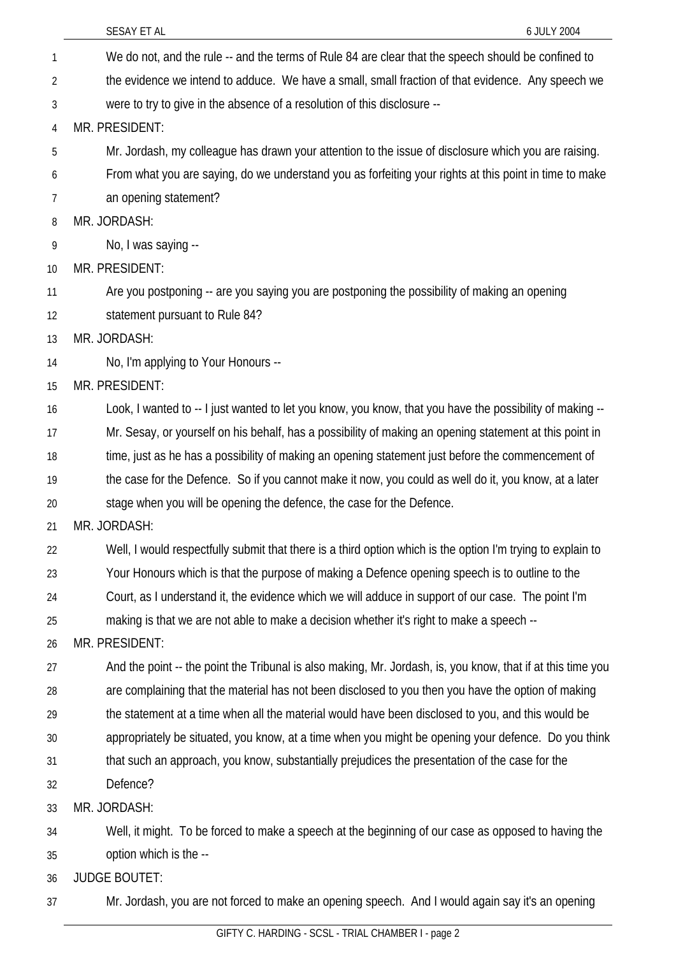|    | SESAY ET AL<br>6 JULY 2004                                                                                  |
|----|-------------------------------------------------------------------------------------------------------------|
| 1  | We do not, and the rule -- and the terms of Rule 84 are clear that the speech should be confined to         |
| 2  | the evidence we intend to adduce. We have a small, small fraction of that evidence. Any speech we           |
| 3  | were to try to give in the absence of a resolution of this disclosure --                                    |
| 4  | MR. PRESIDENT:                                                                                              |
| 5  | Mr. Jordash, my colleague has drawn your attention to the issue of disclosure which you are raising.        |
| 6  | From what you are saying, do we understand you as forfeiting your rights at this point in time to make      |
| 7  | an opening statement?                                                                                       |
| 8  | MR. JORDASH:                                                                                                |
| 9  | No, I was saying --                                                                                         |
| 10 | MR. PRESIDENT:                                                                                              |
| 11 | Are you postponing -- are you saying you are postponing the possibility of making an opening                |
| 12 | statement pursuant to Rule 84?                                                                              |
| 13 | MR. JORDASH:                                                                                                |
| 14 | No, I'm applying to Your Honours --                                                                         |
| 15 | MR. PRESIDENT:                                                                                              |
| 16 | Look, I wanted to -- I just wanted to let you know, you know, that you have the possibility of making --    |
| 17 | Mr. Sesay, or yourself on his behalf, has a possibility of making an opening statement at this point in     |
| 18 | time, just as he has a possibility of making an opening statement just before the commencement of           |
| 19 | the case for the Defence. So if you cannot make it now, you could as well do it, you know, at a later       |
| 20 | stage when you will be opening the defence, the case for the Defence.                                       |
| 21 | MR. JORDASH:                                                                                                |
| 22 | Well, I would respectfully submit that there is a third option which is the option I'm trying to explain to |
| 23 | Your Honours which is that the purpose of making a Defence opening speech is to outline to the              |
| 24 | Court, as I understand it, the evidence which we will adduce in support of our case. The point I'm          |
| 25 | making is that we are not able to make a decision whether it's right to make a speech --                    |
| 26 | MR. PRESIDENT:                                                                                              |
| 27 | And the point -- the point the Tribunal is also making, Mr. Jordash, is, you know, that if at this time you |
| 28 | are complaining that the material has not been disclosed to you then you have the option of making          |
| 29 | the statement at a time when all the material would have been disclosed to you, and this would be           |
| 30 | appropriately be situated, you know, at a time when you might be opening your defence. Do you think         |
| 31 | that such an approach, you know, substantially prejudices the presentation of the case for the              |
| 32 | Defence?                                                                                                    |
| 33 | MR. JORDASH:                                                                                                |
| 34 | Well, it might. To be forced to make a speech at the beginning of our case as opposed to having the         |
| 35 | option which is the --                                                                                      |
| 36 | <b>JUDGE BOUTET:</b>                                                                                        |
| 37 | Mr. Jordash, you are not forced to make an opening speech. And I would again say it's an opening            |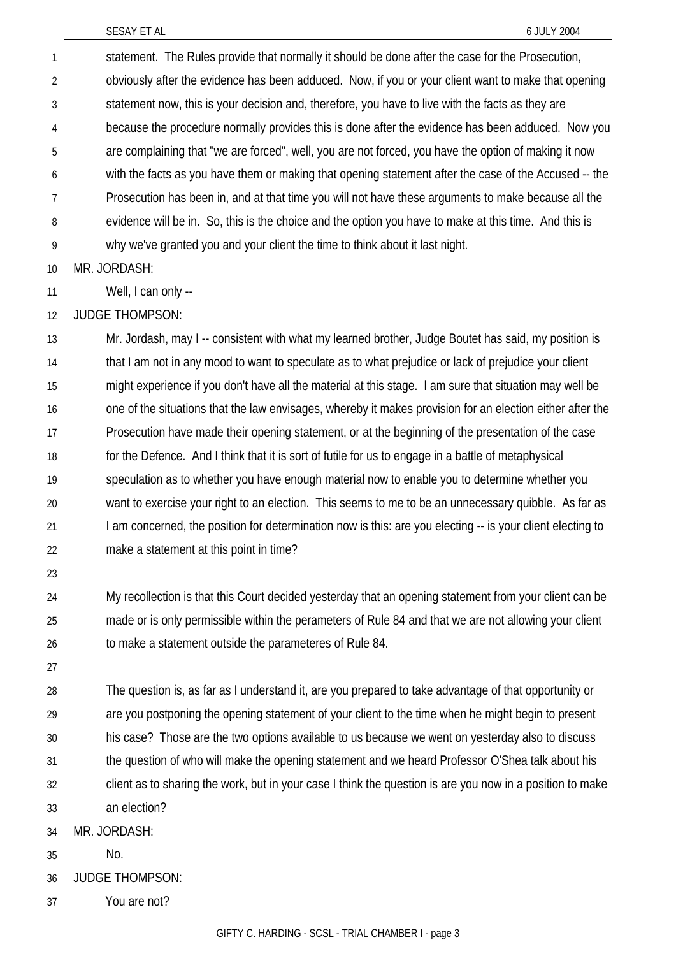statement. The Rules provide that normally it should be done after the case for the Prosecution, obviously after the evidence has been adduced. Now, if you or your client want to make that opening statement now, this is your decision and, therefore, you have to live with the facts as they are because the procedure normally provides this is done after the evidence has been adduced. Now you are complaining that "we are forced", well, you are not forced, you have the option of making it now with the facts as you have them or making that opening statement after the case of the Accused -- the Prosecution has been in, and at that time you will not have these arguments to make because all the evidence will be in. So, this is the choice and the option you have to make at this time. And this is why we've granted you and your client the time to think about it last night. 1 2 3 4 5 6 7 8 9

10 MR. JORDASH:

11 Well, I can only --

12 JUDGE THOMPSON:

13 14 15 16 17 18 19 20 21 22 Mr. Jordash, may I -- consistent with what my learned brother, Judge Boutet has said, my position is that I am not in any mood to want to speculate as to what prejudice or lack of prejudice your client might experience if you don't have all the material at this stage. I am sure that situation may well be one of the situations that the law envisages, whereby it makes provision for an election either after the Prosecution have made their opening statement, or at the beginning of the presentation of the case for the Defence. And I think that it is sort of futile for us to engage in a battle of metaphysical speculation as to whether you have enough material now to enable you to determine whether you want to exercise your right to an election. This seems to me to be an unnecessary quibble. As far as I am concerned, the position for determination now is this: are you electing -- is your client electing to make a statement at this point in time?

23

24 25 26 My recollection is that this Court decided yesterday that an opening statement from your client can be made or is only permissible within the perameters of Rule 84 and that we are not allowing your client to make a statement outside the parameteres of Rule 84.

27

28 29 30 31 32 33 The question is, as far as I understand it, are you prepared to take advantage of that opportunity or are you postponing the opening statement of your client to the time when he might begin to present his case? Those are the two options available to us because we went on yesterday also to discuss the question of who will make the opening statement and we heard Professor O'Shea talk about his client as to sharing the work, but in your case I think the question is are you now in a position to make an election?

34 MR. JORDASH:

35 No.

36 JUDGE THOMPSON:

37 You are not?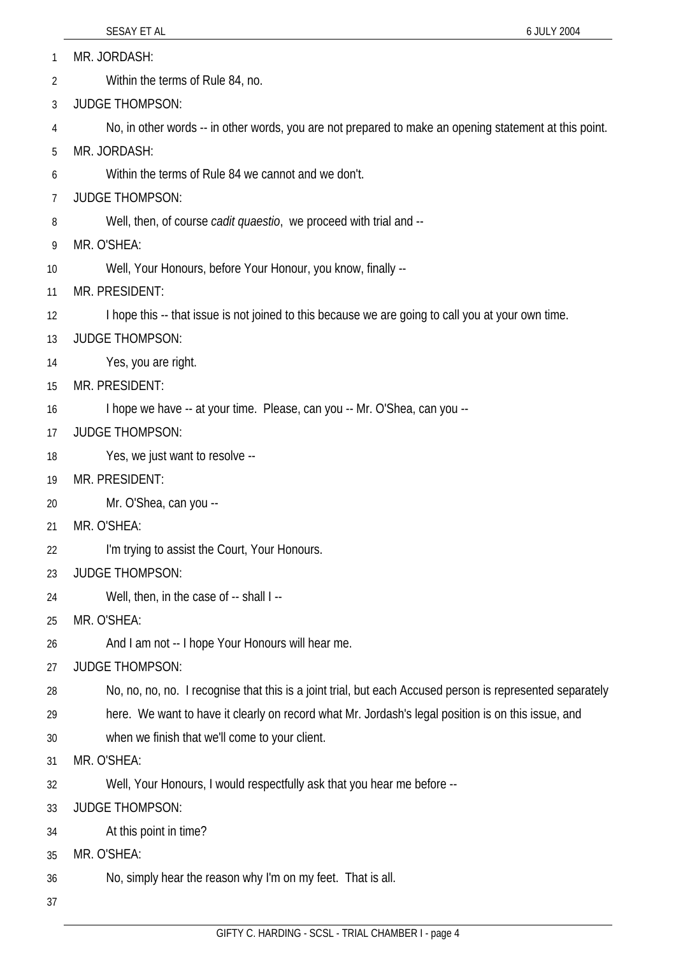MR. JORDASH: 1

Within the terms of Rule 84, no. 2

3 JUDGE THOMPSON:

4 No, in other words -- in other words, you are not prepared to make an opening statement at this point.

5 MR. JORDASH:

6 Within the terms of Rule 84 we cannot and we don't.

- 7 JUDGE THOMPSON:
- 8 Well, then, of course *cadit quaestio*, we proceed with trial and --
- 9 MR. O'SHEA:
- 10 Well, Your Honours, before Your Honour, you know, finally --
- 11 MR. PRESIDENT:
- 12 I hope this -- that issue is not joined to this because we are going to call you at your own time.
- 13 JUDGE THOMPSON:
- 14 Yes, you are right.
- 15 MR. PRESIDENT:
- 16 I hope we have -- at your time. Please, can you -- Mr. O'Shea, can you --
- 17 JUDGE THOMPSON:
- 18 Yes, we just want to resolve --
- 19 MR. PRESIDENT:
- 20 Mr. O'Shea, can you --
- 21 MR. O'SHEA:
- 22 I'm trying to assist the Court, Your Honours.

## 23 JUDGE THOMPSON:

- 24 Well, then, in the case of -- shall I --
- 25 MR. O'SHEA:
- 26 And I am not -- I hope Your Honours will hear me.
- 27 JUDGE THOMPSON:
- 28 No, no, no, no. I recognise that this is a joint trial, but each Accused person is represented separately
- 29 here. We want to have it clearly on record what Mr. Jordash's legal position is on this issue, and
- 30 when we finish that we'll come to your client.
- 31 MR. O'SHEA:
- 32 Well, Your Honours, I would respectfully ask that you hear me before --
- 33 JUDGE THOMPSON:
- 34 At this point in time?
- 35 MR. O'SHEA:
- 36 No, simply hear the reason why I'm on my feet. That is all.
- 37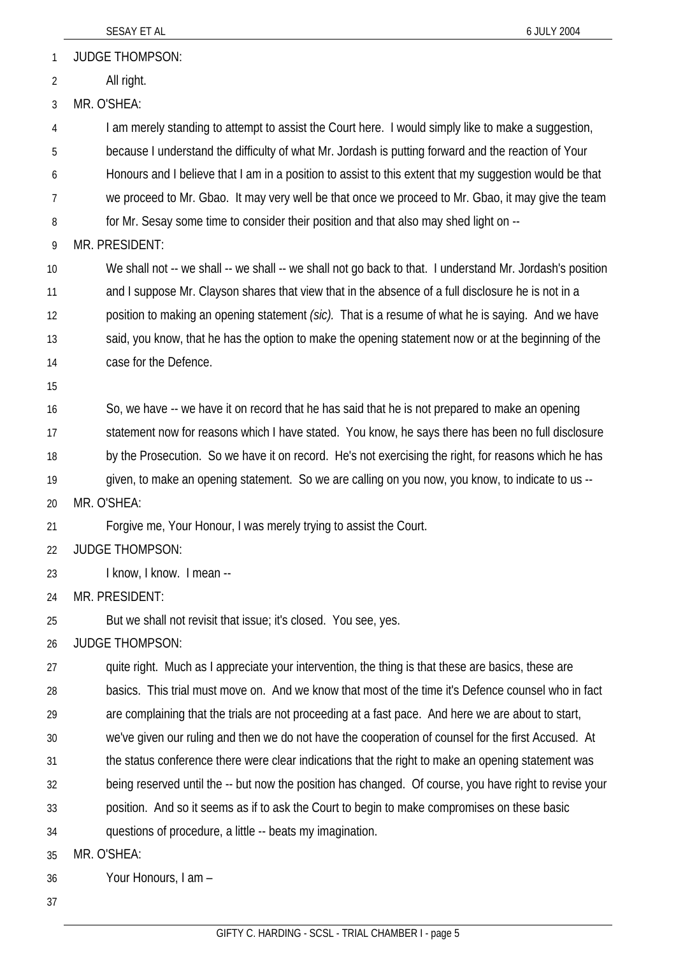JUDGE THOMPSON: 1

All right. 2

3 MR. O'SHEA:

4 I am merely standing to attempt to assist the Court here. I would simply like to make a suggestion,

5 because I understand the difficulty of what Mr. Jordash is putting forward and the reaction of Your

6 Honours and I believe that I am in a position to assist to this extent that my suggestion would be that

7 we proceed to Mr. Gbao. It may very well be that once we proceed to Mr. Gbao, it may give the team

8 for Mr. Sesay some time to consider their position and that also may shed light on --

9 MR. PRESIDENT:

10 11 12 13 We shall not -- we shall -- we shall -- we shall not go back to that. I understand Mr. Jordash's position and I suppose Mr. Clayson shares that view that in the absence of a full disclosure he is not in a position to making an opening statement *(sic).* That is a resume of what he is saying. And we have said, you know, that he has the option to make the opening statement now or at the beginning of the

- 14 case for the Defence.
- 15

16 17 18 19 So, we have -- we have it on record that he has said that he is not prepared to make an opening statement now for reasons which I have stated. You know, he says there has been no full disclosure by the Prosecution. So we have it on record. He's not exercising the right, for reasons which he has given, to make an opening statement. So we are calling on you now, you know, to indicate to us --

20 MR. O'SHEA:

21 Forgive me, Your Honour, I was merely trying to assist the Court.

- 22 JUDGE THOMPSON:
- 23 I know, I know. I mean --

24 MR. PRESIDENT:

25 But we shall not revisit that issue; it's closed. You see, yes.

26 JUDGE THOMPSON:

27 28 29 quite right. Much as I appreciate your intervention, the thing is that these are basics, these are basics. This trial must move on. And we know that most of the time it's Defence counsel who in fact are complaining that the trials are not proceeding at a fast pace. And here we are about to start,

- 30 we've given our ruling and then we do not have the cooperation of counsel for the first Accused. At
- 31 the status conference there were clear indications that the right to make an opening statement was

32 being reserved until the -- but now the position has changed. Of course, you have right to revise your

33 position. And so it seems as if to ask the Court to begin to make compromises on these basic

34 questions of procedure, a little -- beats my imagination.

35 MR. O'SHEA:

36 Your Honours, I am –

37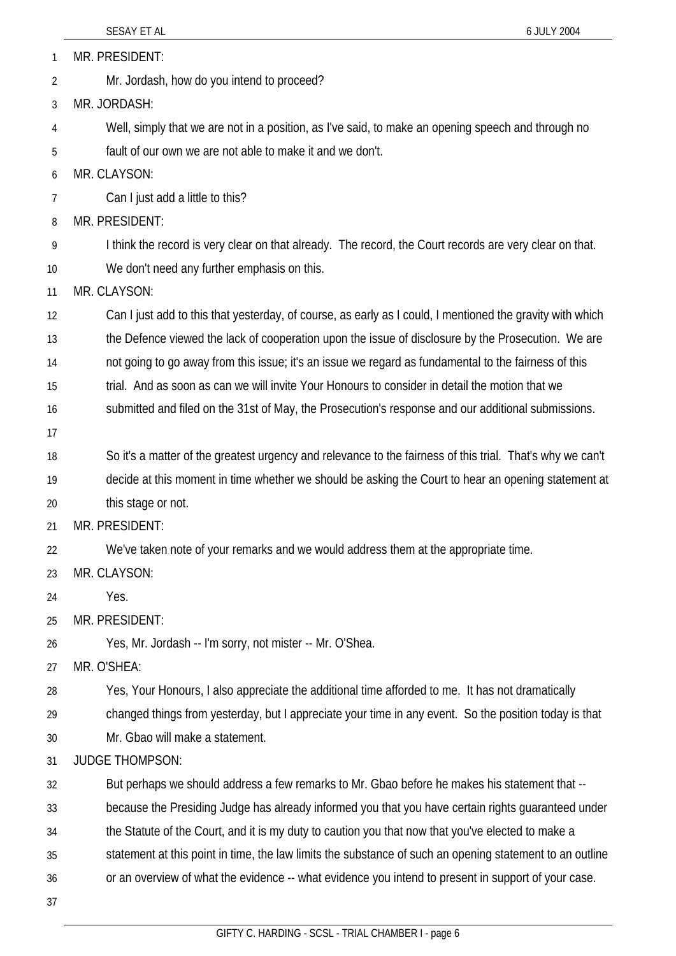|    | SESAY ET AL<br>6 JULY 2004                                                                                |
|----|-----------------------------------------------------------------------------------------------------------|
| 1  | MR. PRESIDENT:                                                                                            |
| 2  | Mr. Jordash, how do you intend to proceed?                                                                |
| 3  | MR. JORDASH:                                                                                              |
| 4  | Well, simply that we are not in a position, as I've said, to make an opening speech and through no        |
| 5  | fault of our own we are not able to make it and we don't.                                                 |
| 6  | MR. CLAYSON:                                                                                              |
| 7  | Can I just add a little to this?                                                                          |
| 8  | MR. PRESIDENT:                                                                                            |
| 9  | I think the record is very clear on that already. The record, the Court records are very clear on that.   |
| 10 | We don't need any further emphasis on this.                                                               |
| 11 | MR. CLAYSON:                                                                                              |
| 12 | Can I just add to this that yesterday, of course, as early as I could, I mentioned the gravity with which |
| 13 | the Defence viewed the lack of cooperation upon the issue of disclosure by the Prosecution. We are        |
| 14 | not going to go away from this issue; it's an issue we regard as fundamental to the fairness of this      |
| 15 | trial. And as soon as can we will invite Your Honours to consider in detail the motion that we            |
| 16 | submitted and filed on the 31st of May, the Prosecution's response and our additional submissions.        |
| 17 |                                                                                                           |
| 18 | So it's a matter of the greatest urgency and relevance to the fairness of this trial. That's why we can't |
| 19 | decide at this moment in time whether we should be asking the Court to hear an opening statement at       |
| 20 | this stage or not.                                                                                        |
| 21 | MR. PRESIDENT:                                                                                            |
| 22 | We've taken note of your remarks and we would address them at the appropriate time.                       |
| 23 | MR. CLAYSON:                                                                                              |
| 24 | Yes.                                                                                                      |
| 25 | MR. PRESIDENT:                                                                                            |
| 26 | Yes, Mr. Jordash -- I'm sorry, not mister -- Mr. O'Shea.                                                  |
| 27 | MR. O'SHEA:                                                                                               |
| 28 | Yes, Your Honours, I also appreciate the additional time afforded to me. It has not dramatically          |
| 29 | changed things from yesterday, but I appreciate your time in any event. So the position today is that     |
| 30 | Mr. Gbao will make a statement.                                                                           |
| 31 | <b>JUDGE THOMPSON:</b>                                                                                    |
| 32 | But perhaps we should address a few remarks to Mr. Gbao before he makes his statement that --             |
| 33 | because the Presiding Judge has already informed you that you have certain rights guaranteed under        |
| 34 | the Statute of the Court, and it is my duty to caution you that now that you've elected to make a         |
| 35 | statement at this point in time, the law limits the substance of such an opening statement to an outline  |
| 36 | or an overview of what the evidence -- what evidence you intend to present in support of your case.       |
| 37 |                                                                                                           |
|    |                                                                                                           |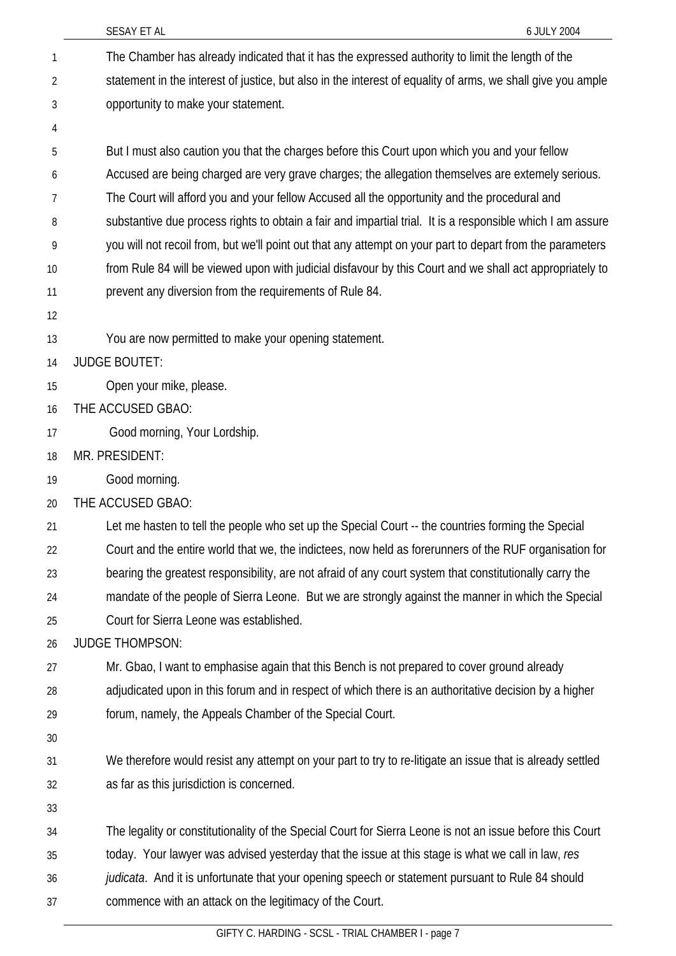|    | SESAY ET AL<br>6 JULY 2004                                                                                  |
|----|-------------------------------------------------------------------------------------------------------------|
| 1  | The Chamber has already indicated that it has the expressed authority to limit the length of the            |
| 2  | statement in the interest of justice, but also in the interest of equality of arms, we shall give you ample |
| 3  | opportunity to make your statement.                                                                         |
| 4  |                                                                                                             |
| 5  | But I must also caution you that the charges before this Court upon which you and your fellow               |
| 6  | Accused are being charged are very grave charges; the allegation themselves are extemely serious.           |
| 7  | The Court will afford you and your fellow Accused all the opportunity and the procedural and                |
| 8  | substantive due process rights to obtain a fair and impartial trial. It is a responsible which I am assure  |
| 9  | you will not recoil from, but we'll point out that any attempt on your part to depart from the parameters   |
| 10 | from Rule 84 will be viewed upon with judicial disfavour by this Court and we shall act appropriately to    |
| 11 | prevent any diversion from the requirements of Rule 84.                                                     |
| 12 |                                                                                                             |
| 13 | You are now permitted to make your opening statement.                                                       |
| 14 | <b>JUDGE BOUTET:</b>                                                                                        |
| 15 | Open your mike, please.                                                                                     |
| 16 | THE ACCUSED GBAO:                                                                                           |
| 17 | Good morning, Your Lordship.                                                                                |
| 18 | MR. PRESIDENT:                                                                                              |
| 19 | Good morning.                                                                                               |
| 20 | THE ACCUSED GBAO:                                                                                           |
| 21 | Let me hasten to tell the people who set up the Special Court -- the countries forming the Special          |
| 22 | Court and the entire world that we, the indictees, now held as forerunners of the RUF organisation for      |
| 23 | bearing the greatest responsibility, are not afraid of any court system that constitutionally carry the     |
| 24 | mandate of the people of Sierra Leone. But we are strongly against the manner in which the Special          |
| 25 | Court for Sierra Leone was established.                                                                     |
| 26 | <b>JUDGE THOMPSON:</b>                                                                                      |
| 27 | Mr. Gbao, I want to emphasise again that this Bench is not prepared to cover ground already                 |
| 28 | adjudicated upon in this forum and in respect of which there is an authoritative decision by a higher       |
| 29 | forum, namely, the Appeals Chamber of the Special Court.                                                    |
| 30 |                                                                                                             |
| 31 | We therefore would resist any attempt on your part to try to re-litigate an issue that is already settled   |
| 32 | as far as this jurisdiction is concerned.                                                                   |
| 33 |                                                                                                             |
| 34 | The legality or constitutionality of the Special Court for Sierra Leone is not an issue before this Court   |
| 35 | today. Your lawyer was advised yesterday that the issue at this stage is what we call in law, res           |
| 36 | judicata. And it is unfortunate that your opening speech or statement pursuant to Rule 84 should            |
| 37 | commence with an attack on the legitimacy of the Court.                                                     |
|    |                                                                                                             |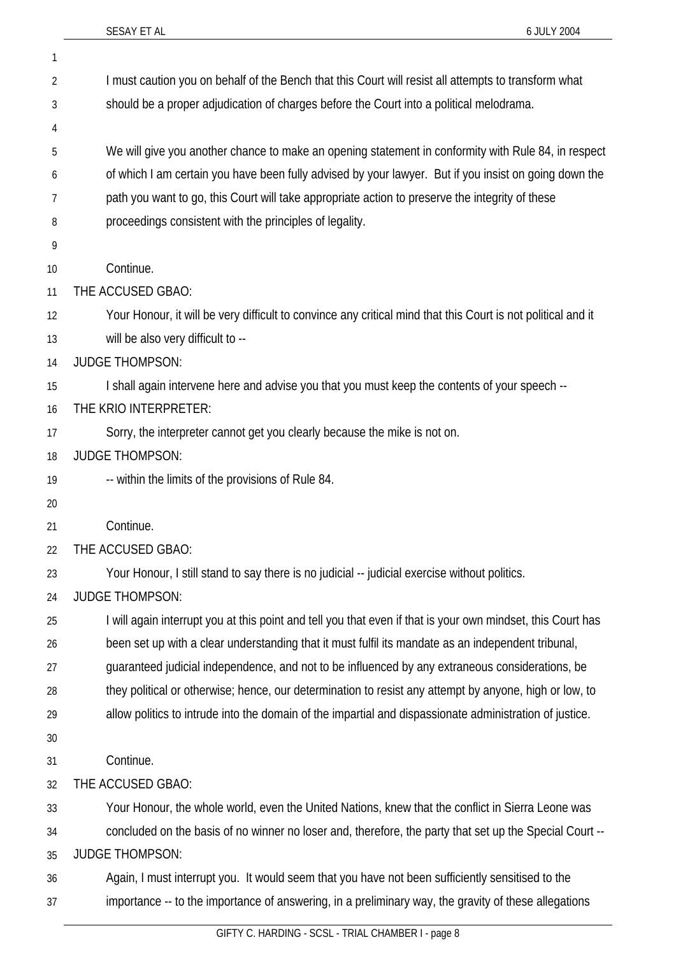1

| 2  | I must caution you on behalf of the Bench that this Court will resist all attempts to transform what         |
|----|--------------------------------------------------------------------------------------------------------------|
| 3  | should be a proper adjudication of charges before the Court into a political melodrama.                      |
| 4  |                                                                                                              |
| 5  | We will give you another chance to make an opening statement in conformity with Rule 84, in respect          |
| 6  | of which I am certain you have been fully advised by your lawyer. But if you insist on going down the        |
| 7  | path you want to go, this Court will take appropriate action to preserve the integrity of these              |
| 8  | proceedings consistent with the principles of legality.                                                      |
| 9  |                                                                                                              |
| 10 | Continue.                                                                                                    |
| 11 | THE ACCUSED GBAO:                                                                                            |
| 12 | Your Honour, it will be very difficult to convince any critical mind that this Court is not political and it |
| 13 | will be also very difficult to --                                                                            |
| 14 | <b>JUDGE THOMPSON:</b>                                                                                       |
| 15 | I shall again intervene here and advise you that you must keep the contents of your speech --                |
| 16 | THE KRIO INTERPRETER:                                                                                        |
| 17 | Sorry, the interpreter cannot get you clearly because the mike is not on.                                    |
| 18 | <b>JUDGE THOMPSON:</b>                                                                                       |
| 19 | -- within the limits of the provisions of Rule 84.                                                           |
| 20 |                                                                                                              |
| 21 | Continue.                                                                                                    |
| 22 | THE ACCUSED GBAO:                                                                                            |
| 23 | Your Honour, I still stand to say there is no judicial -- judicial exercise without politics                 |
| 24 | <b>JUDGE THOMPSON:</b>                                                                                       |
| 25 | I will again interrupt you at this point and tell you that even if that is your own mindset, this Court has  |
| 26 | been set up with a clear understanding that it must fulfil its mandate as an independent tribunal,           |
| 27 | guaranteed judicial independence, and not to be influenced by any extraneous considerations, be              |
| 28 | they political or otherwise; hence, our determination to resist any attempt by anyone, high or low, to       |
| 29 | allow politics to intrude into the domain of the impartial and dispassionate administration of justice.      |
| 30 |                                                                                                              |
| 31 | Continue.                                                                                                    |
| 32 | THE ACCUSED GBAO:                                                                                            |
| 33 | Your Honour, the whole world, even the United Nations, knew that the conflict in Sierra Leone was            |
| 34 | concluded on the basis of no winner no loser and, therefore, the party that set up the Special Court --      |
| 35 | <b>JUDGE THOMPSON:</b>                                                                                       |
| 36 | Again, I must interrupt you. It would seem that you have not been sufficiently sensitised to the             |
| 37 | importance -- to the importance of answering, in a preliminary way, the gravity of these allegations         |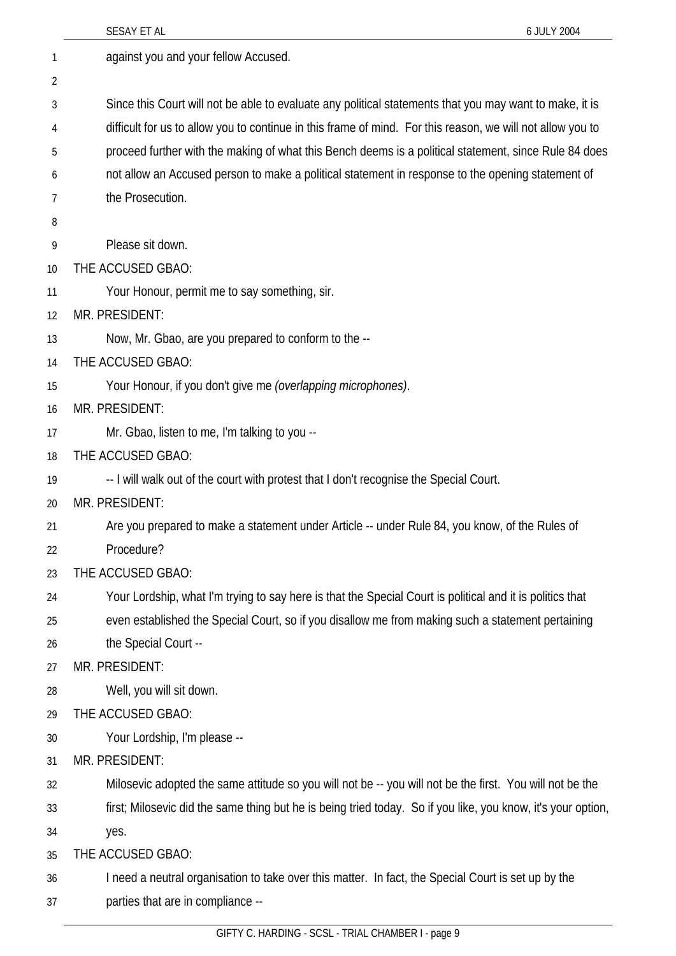|    | 6 JULY 2004<br>SESAY ET AL                                                                                   |
|----|--------------------------------------------------------------------------------------------------------------|
| 1  | against you and your fellow Accused.                                                                         |
| 2  |                                                                                                              |
| 3  | Since this Court will not be able to evaluate any political statements that you may want to make, it is      |
| 4  | difficult for us to allow you to continue in this frame of mind. For this reason, we will not allow you to   |
| 5  | proceed further with the making of what this Bench deems is a political statement, since Rule 84 does        |
| 6  | not allow an Accused person to make a political statement in response to the opening statement of            |
| 7  | the Prosecution.                                                                                             |
| 8  |                                                                                                              |
| 9  | Please sit down.                                                                                             |
| 10 | THE ACCUSED GBAO:                                                                                            |
| 11 | Your Honour, permit me to say something, sir.                                                                |
| 12 | MR. PRESIDENT:                                                                                               |
| 13 | Now, Mr. Gbao, are you prepared to conform to the --                                                         |
| 14 | THE ACCUSED GBAO:                                                                                            |
| 15 | Your Honour, if you don't give me (overlapping microphones).                                                 |
| 16 | MR. PRESIDENT:                                                                                               |
| 17 | Mr. Gbao, listen to me, I'm talking to you --                                                                |
| 18 | THE ACCUSED GBAO:                                                                                            |
| 19 | -- I will walk out of the court with protest that I don't recognise the Special Court.                       |
| 20 | MR. PRESIDENT:                                                                                               |
| 21 | Are you prepared to make a statement under Article -- under Rule 84, you know, of the Rules of               |
| 22 | Procedure?                                                                                                   |
| 23 | THE ACCUSED GBAO:                                                                                            |
| 24 | Your Lordship, what I'm trying to say here is that the Special Court is political and it is politics that    |
| 25 | even established the Special Court, so if you disallow me from making such a statement pertaining            |
| 26 | the Special Court --                                                                                         |
| 27 | MR. PRESIDENT:                                                                                               |
| 28 | Well, you will sit down.                                                                                     |
| 29 | THE ACCUSED GBAO:                                                                                            |
| 30 | Your Lordship, I'm please --                                                                                 |
| 31 | MR. PRESIDENT:                                                                                               |
| 32 | Milosevic adopted the same attitude so you will not be -- you will not be the first. You will not be the     |
| 33 | first; Milosevic did the same thing but he is being tried today. So if you like, you know, it's your option, |
| 34 | yes.                                                                                                         |
| 35 | THE ACCUSED GBAO:                                                                                            |
| 36 | I need a neutral organisation to take over this matter. In fact, the Special Court is set up by the          |
| 37 | parties that are in compliance --                                                                            |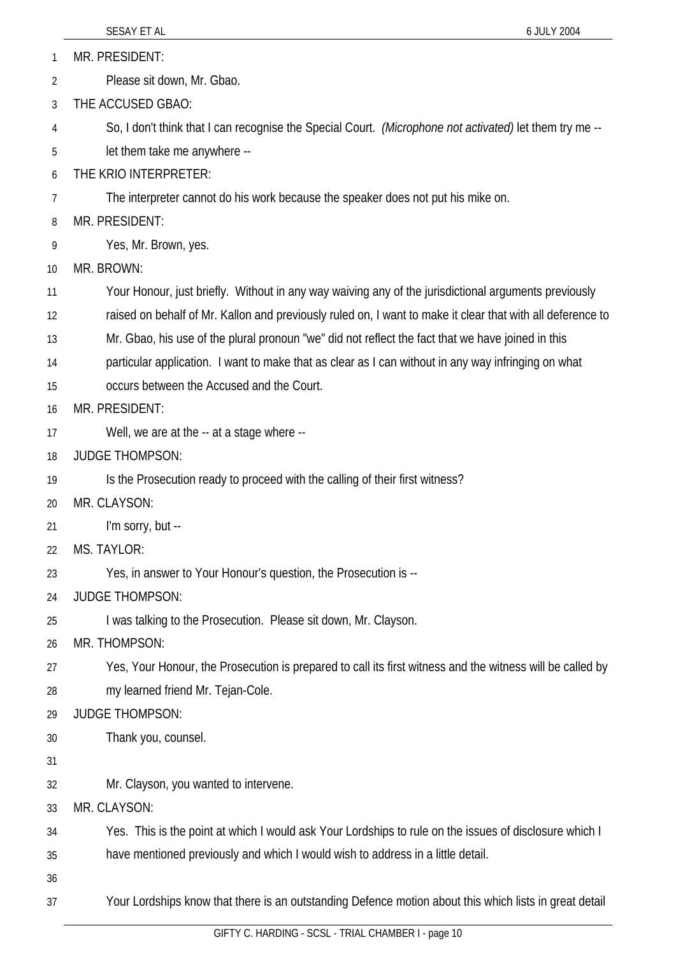MR. PRESIDENT: 1

Please sit down, Mr. Gbao. 2

3 THE ACCUSED GBAO:

4 So, I don't think that I can recognise the Special Court. *(Microphone not activated)* let them try me --

5 let them take me anywhere --

6 THE KRIO INTERPRETER:

7 The interpreter cannot do his work because the speaker does not put his mike on.

8 MR. PRESIDENT:

9 Yes, Mr. Brown, yes.

10 MR. BROWN:

11 Your Honour, just briefly. Without in any way waiving any of the jurisdictional arguments previously

12 raised on behalf of Mr. Kallon and previously ruled on, I want to make it clear that with all deference to

13 Mr. Gbao, his use of the plural pronoun "we" did not reflect the fact that we have joined in this

14 particular application. I want to make that as clear as I can without in any way infringing on what

15 occurs between the Accused and the Court.

## 16 MR. PRESIDENT:

- 17 Well, we are at the -- at a stage where --
- 18 JUDGE THOMPSON:

19 Is the Prosecution ready to proceed with the calling of their first witness?

- 20 MR. CLAYSON:
- 21 I'm sorry, but --
- 22 MS. TAYLOR:
- 23 Yes, in answer to Your Honour's question, the Prosecution is --
- 24 JUDGE THOMPSON:

25 I was talking to the Prosecution. Please sit down, Mr. Clayson.

 $26$ MR. THOMPSON:

- 27 28 Yes, Your Honour, the Prosecution is prepared to call its first witness and the witness will be called by my learned friend Mr. Tejan-Cole.
- 29 JUDGE THOMPSON:
- 30 Thank you, counsel.
- 31
- 32 Mr. Clayson, you wanted to intervene.
- 33 MR. CLAYSON:
- 34 Yes. This is the point at which I would ask Your Lordships to rule on the issues of disclosure which I
- 35 have mentioned previously and which I would wish to address in a little detail.
- 36

37 Your Lordships know that there is an outstanding Defence motion about this which lists in great detail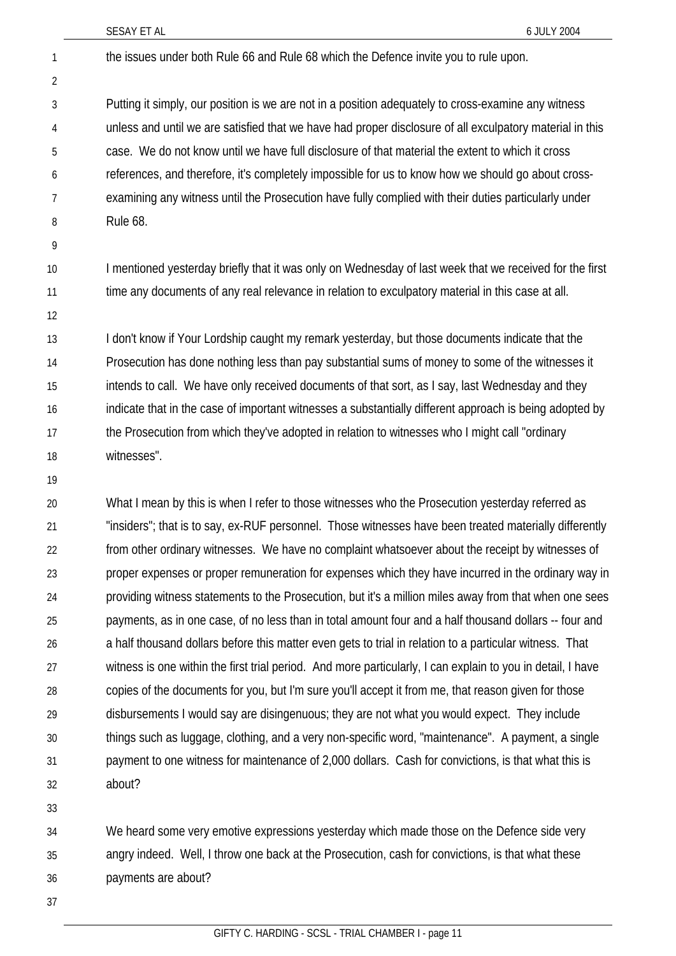SESAY ET AL 6 JULY 2004 the issues under both Rule 66 and Rule 68 which the Defence invite you to rule upon. Putting it simply, our position is we are not in a position adequately to cross-examine any witness unless and until we are satisfied that we have had proper disclosure of all exculpatory material in this case. We do not know until we have full disclosure of that material the extent to which it cross references, and therefore, it's completely impossible for us to know how we should go about crossexamining any witness until the Prosecution have fully complied with their duties particularly under Rule 68. I mentioned yesterday briefly that it was only on Wednesday of last week that we received for the first time any documents of any real relevance in relation to exculpatory material in this case at all. I don't know if Your Lordship caught my remark yesterday, but those documents indicate that the Prosecution has done nothing less than pay substantial sums of money to some of the witnesses it intends to call. We have only received documents of that sort, as I say, last Wednesday and they indicate that in the case of important witnesses a substantially different approach is being adopted by the Prosecution from which they've adopted in relation to witnesses who I might call "ordinary witnesses". What I mean by this is when I refer to those witnesses who the Prosecution yesterday referred as "insiders"; that is to say, ex-RUF personnel. Those witnesses have been treated materially differently 1 2 3 4 5 6 7 8 9 10 11 12 13 14 15 16 17 18 19 20 21

from other ordinary witnesses. We have no complaint whatsoever about the receipt by witnesses of proper expenses or proper remuneration for expenses which they have incurred in the ordinary way in providing witness statements to the Prosecution, but it's a million miles away from that when one sees payments, as in one case, of no less than in total amount four and a half thousand dollars -- four and a half thousand dollars before this matter even gets to trial in relation to a particular witness. That witness is one within the first trial period. And more particularly, I can explain to you in detail, I have copies of the documents for you, but I'm sure you'll accept it from me, that reason given for those disbursements I would say are disingenuous; they are not what you would expect. They include things such as luggage, clothing, and a very non-specific word, "maintenance". A payment, a single payment to one witness for maintenance of 2,000 dollars. Cash for convictions, is that what this is about? 22 23 24 25 26 27 28 29 30 31 32

33

We heard some very emotive expressions yesterday which made those on the Defence side very angry indeed. Well, I throw one back at the Prosecution, cash for convictions, is that what these payments are about? 34 35 36

37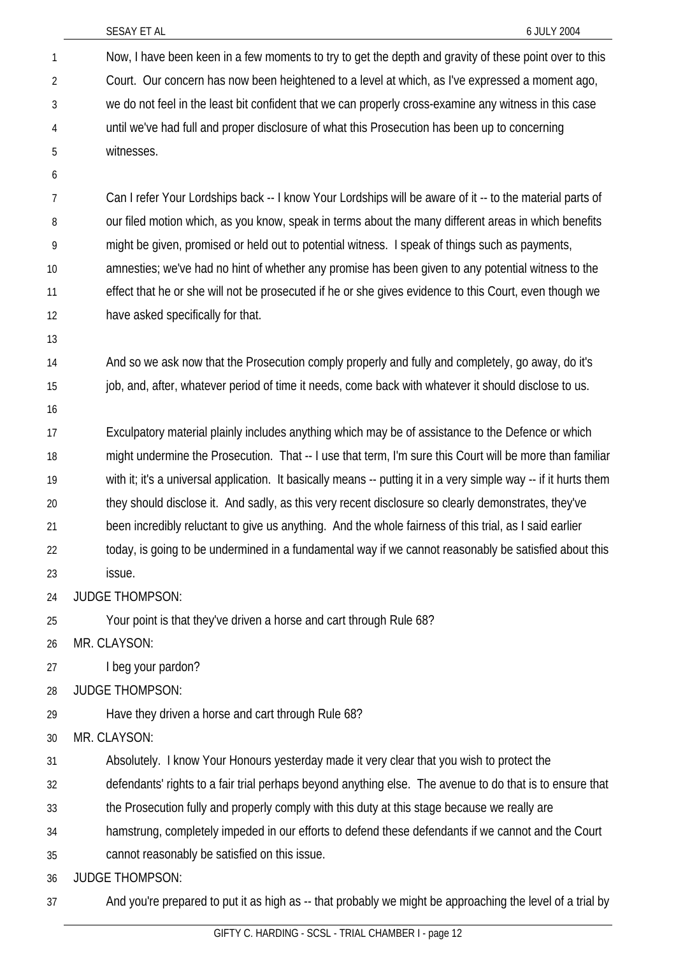|                | SESAY ET AL<br>6 JULY 2004                                                                                       |
|----------------|------------------------------------------------------------------------------------------------------------------|
| 1              | Now, I have been keen in a few moments to try to get the depth and gravity of these point over to this           |
| $\overline{2}$ | Court. Our concern has now been heightened to a level at which, as I've expressed a moment ago,                  |
| 3              | we do not feel in the least bit confident that we can properly cross-examine any witness in this case            |
| 4              | until we've had full and proper disclosure of what this Prosecution has been up to concerning                    |
| 5              | witnesses.                                                                                                       |
| 6              |                                                                                                                  |
| 7              | Can I refer Your Lordships back -- I know Your Lordships will be aware of it -- to the material parts of         |
| 8              | our filed motion which, as you know, speak in terms about the many different areas in which benefits             |
| 9              | might be given, promised or held out to potential witness. I speak of things such as payments,                   |
| 10             | amnesties; we've had no hint of whether any promise has been given to any potential witness to the               |
| 11             | effect that he or she will not be prosecuted if he or she gives evidence to this Court, even though we           |
| 12             | have asked specifically for that.                                                                                |
| 13             |                                                                                                                  |
| 14             | And so we ask now that the Prosecution comply properly and fully and completely, go away, do it's                |
| 15             | job, and, after, whatever period of time it needs, come back with whatever it should disclose to us.             |
| 16             |                                                                                                                  |
| 17             | Exculpatory material plainly includes anything which may be of assistance to the Defence or which                |
| 18             | might undermine the Prosecution. That -- I use that term, I'm sure this Court will be more than familiar         |
| 19             | with it; it's a universal application. It basically means -- putting it in a very simple way -- if it hurts them |
| 20             | they should disclose it. And sadly, as this very recent disclosure so clearly demonstrates, they've              |
| 21             | been incredibly reluctant to give us anything. And the whole fairness of this trial, as I said earlier           |
| 22             | today, is going to be undermined in a fundamental way if we cannot reasonably be satisfied about this            |
| 23             | issue.                                                                                                           |
| 24             | <b>JUDGE THOMPSON:</b>                                                                                           |
| 25             | Your point is that they've driven a horse and cart through Rule 68?                                              |
| 26             | MR. CLAYSON:                                                                                                     |
| 27             | I beg your pardon?                                                                                               |
| 28             | <b>JUDGE THOMPSON:</b>                                                                                           |
| 29             | Have they driven a horse and cart through Rule 68?                                                               |
| 30             | MR. CLAYSON:                                                                                                     |
| 31             | Absolutely. I know Your Honours yesterday made it very clear that you wish to protect the                        |
| 32             | defendants' rights to a fair trial perhaps beyond anything else. The avenue to do that is to ensure that         |
| 33             | the Prosecution fully and properly comply with this duty at this stage because we really are                     |
| 34             | hamstrung, completely impeded in our efforts to defend these defendants if we cannot and the Court               |
| 35             | cannot reasonably be satisfied on this issue.                                                                    |
| 36             | <b>JUDGE THOMPSON:</b>                                                                                           |
| 37             | And you're prepared to put it as high as -- that probably we might be approaching the level of a trial by        |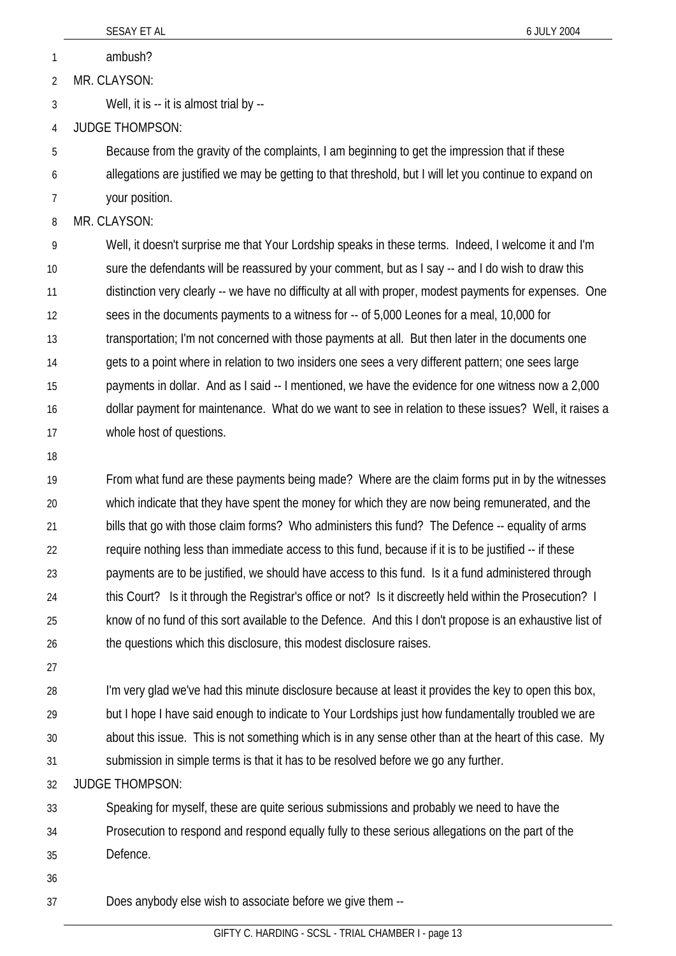1 ambush?

2 MR. CLAYSON:

3 Well, it is -- it is almost trial by --

4 JUDGE THOMPSON:

5 6 Because from the gravity of the complaints, I am beginning to get the impression that if these allegations are justified we may be getting to that threshold, but I will let you continue to expand on

7 your position.

8 MR. CLAYSON:

9 10 11 12 13 14 15 16 17 Well, it doesn't surprise me that Your Lordship speaks in these terms. Indeed, I welcome it and I'm sure the defendants will be reassured by your comment, but as I say -- and I do wish to draw this distinction very clearly -- we have no difficulty at all with proper, modest payments for expenses. One sees in the documents payments to a witness for -- of 5,000 Leones for a meal, 10,000 for transportation; I'm not concerned with those payments at all. But then later in the documents one gets to a point where in relation to two insiders one sees a very different pattern; one sees large payments in dollar. And as I said -- I mentioned, we have the evidence for one witness now a 2,000 dollar payment for maintenance. What do we want to see in relation to these issues? Well, it raises a whole host of questions.

18

19 20 21 22 23 24 25 26 From what fund are these payments being made? Where are the claim forms put in by the witnesses which indicate that they have spent the money for which they are now being remunerated, and the bills that go with those claim forms? Who administers this fund? The Defence -- equality of arms require nothing less than immediate access to this fund, because if it is to be justified -- if these payments are to be justified, we should have access to this fund. Is it a fund administered through this Court? Is it through the Registrar's office or not? Is it discreetly held within the Prosecution? I know of no fund of this sort available to the Defence. And this I don't propose is an exhaustive list of the questions which this disclosure, this modest disclosure raises.

27

28 29 30 31 I'm very glad we've had this minute disclosure because at least it provides the key to open this box, but I hope I have said enough to indicate to Your Lordships just how fundamentally troubled we are about this issue. This is not something which is in any sense other than at the heart of this case. My submission in simple terms is that it has to be resolved before we go any further.

32 JUDGE THOMPSON:

33 Speaking for myself, these are quite serious submissions and probably we need to have the

- 34 Prosecution to respond and respond equally fully to these serious allegations on the part of the
- 35 Defence.
- 36

37 Does anybody else wish to associate before we give them --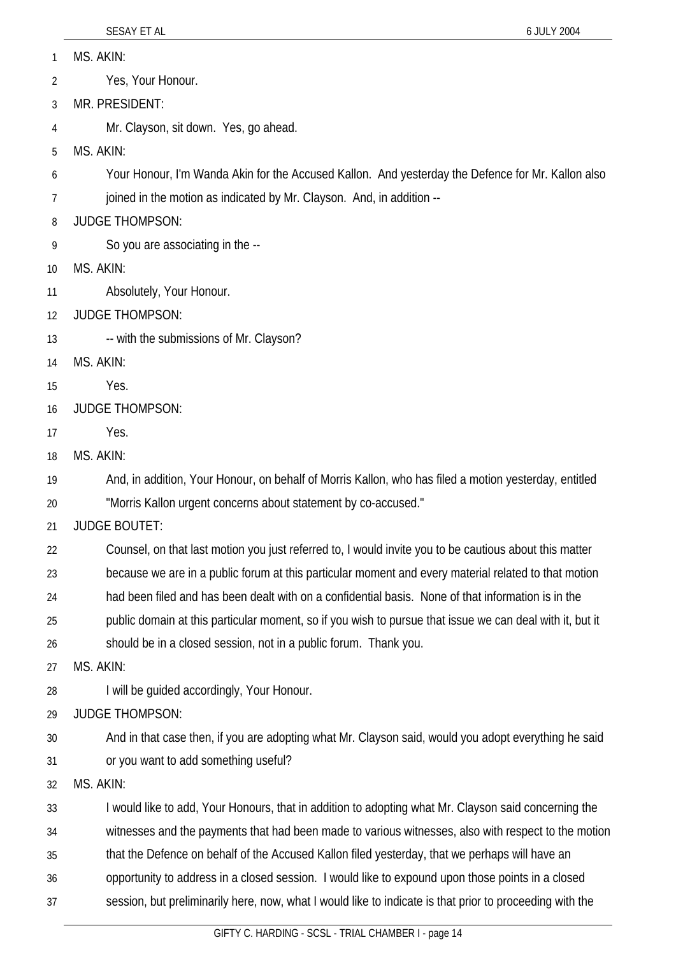MS. AKIN: 1

Yes, Your Honour. 2

- 3 MR. PRESIDENT:
- 4 Mr. Clayson, sit down. Yes, go ahead.
- 5 MS. AKIN:
- 6 Your Honour, I'm Wanda Akin for the Accused Kallon. And yesterday the Defence for Mr. Kallon also
- 7 joined in the motion as indicated by Mr. Clayson. And, in addition --
- 8 JUDGE THOMPSON:
- 9 So you are associating in the --
- 10 MS. AKIN:
- 11 Absolutely, Your Honour.
- 12 JUDGE THOMPSON:
- 13 -- with the submissions of Mr. Clayson?
- 14 MS. AKIN:
- 15 Yes.
- 16 JUDGE THOMPSON:
- 17 Yes.
- 18 MS. AKIN:

19 And, in addition, Your Honour, on behalf of Morris Kallon, who has filed a motion yesterday, entitled

- 20 "Morris Kallon urgent concerns about statement by co-accused."
- 21 JUDGE BOUTET:

22 Counsel, on that last motion you just referred to, I would invite you to be cautious about this matter

- 23 because we are in a public forum at this particular moment and every material related to that motion
- 24 had been filed and has been dealt with on a confidential basis. None of that information is in the

25 public domain at this particular moment, so if you wish to pursue that issue we can deal with it, but it

26 should be in a closed session, not in a public forum. Thank you.

- 27 MS. AKIN:
- 28 I will be guided accordingly, Your Honour.
- 29 JUDGE THOMPSON:
- 30 31 And in that case then, if you are adopting what Mr. Clayson said, would you adopt everything he said or you want to add something useful?
- 32 MS. AKIN:

33 I would like to add, Your Honours, that in addition to adopting what Mr. Clayson said concerning the

34 witnesses and the payments that had been made to various witnesses, also with respect to the motion

- 35 that the Defence on behalf of the Accused Kallon filed yesterday, that we perhaps will have an
- 36 opportunity to address in a closed session. I would like to expound upon those points in a closed
- 37 session, but preliminarily here, now, what I would like to indicate is that prior to proceeding with the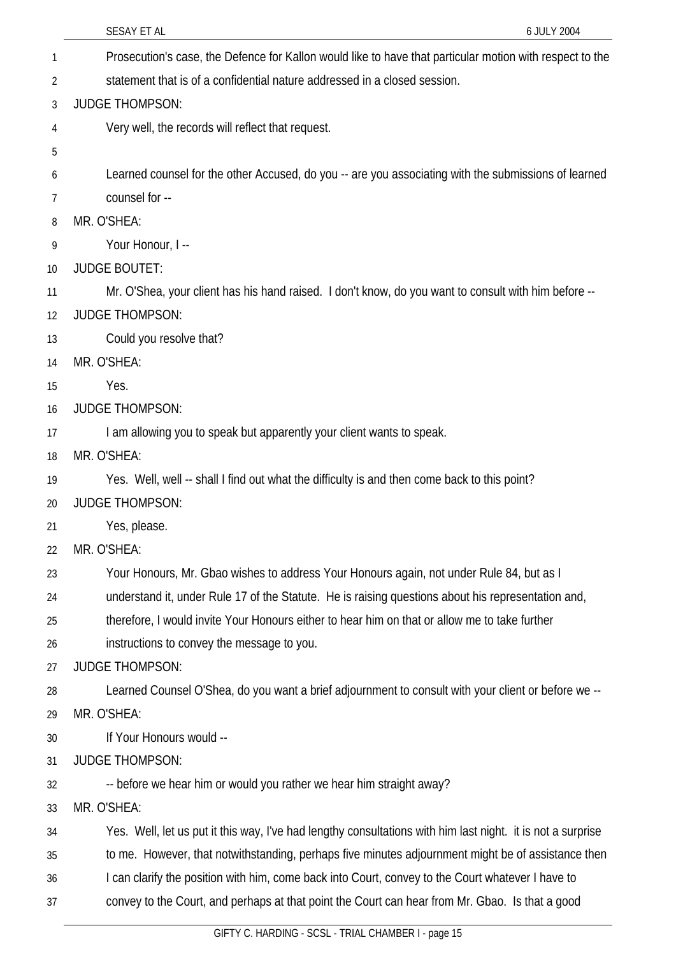|          | SESAY ET AL<br>6 JULY 2004                                                                                  |
|----------|-------------------------------------------------------------------------------------------------------------|
| 1        | Prosecution's case, the Defence for Kallon would like to have that particular motion with respect to the    |
| 2        | statement that is of a confidential nature addressed in a closed session.                                   |
| 3        | <b>JUDGE THOMPSON:</b>                                                                                      |
| 4        | Very well, the records will reflect that request.                                                           |
| 5        |                                                                                                             |
| 6        | Learned counsel for the other Accused, do you -- are you associating with the submissions of learned        |
| $\prime$ | counsel for --                                                                                              |
| 8        | MR. O'SHEA:                                                                                                 |
| 9        | Your Honour, I --                                                                                           |
| 10       | <b>JUDGE BOUTET:</b>                                                                                        |
| 11       | Mr. O'Shea, your client has his hand raised. I don't know, do you want to consult with him before --        |
| 12       | <b>JUDGE THOMPSON:</b>                                                                                      |
| 13       | Could you resolve that?                                                                                     |
| 14       | MR. O'SHEA:                                                                                                 |
| 15       | Yes.                                                                                                        |
| 16       | <b>JUDGE THOMPSON:</b>                                                                                      |
| 17       | I am allowing you to speak but apparently your client wants to speak.                                       |
| 18       | MR. O'SHEA:                                                                                                 |
| 19       | Yes. Well, well -- shall I find out what the difficulty is and then come back to this point?                |
| 20       | <b>JUDGE THOMPSON:</b>                                                                                      |
| 21       | Yes, please.                                                                                                |
| 22       | MR. O'SHEA:                                                                                                 |
| 23       | Your Honours, Mr. Gbao wishes to address Your Honours again, not under Rule 84, but as I                    |
| 24       | understand it, under Rule 17 of the Statute. He is raising questions about his representation and,          |
| 25       | therefore, I would invite Your Honours either to hear him on that or allow me to take further               |
| 26       | instructions to convey the message to you.                                                                  |
| 27       | <b>JUDGE THOMPSON:</b>                                                                                      |
| 28       | Learned Counsel O'Shea, do you want a brief adjournment to consult with your client or before we --         |
| 29       | MR. O'SHEA:                                                                                                 |
| 30       | If Your Honours would --                                                                                    |
| 31       | <b>JUDGE THOMPSON:</b>                                                                                      |
| 32       | -- before we hear him or would you rather we hear him straight away?                                        |
| 33       | MR. O'SHEA:                                                                                                 |
| 34       | Yes. Well, let us put it this way, I've had lengthy consultations with him last night. it is not a surprise |
| 35       | to me. However, that notwithstanding, perhaps five minutes adjournment might be of assistance then          |
| 36       | I can clarify the position with him, come back into Court, convey to the Court whatever I have to           |
| 37       | convey to the Court, and perhaps at that point the Court can hear from Mr. Gbao. Is that a good             |
|          | GIFTY C. HARDING - SCSL - TRIAL CHAMBER I - page 15                                                         |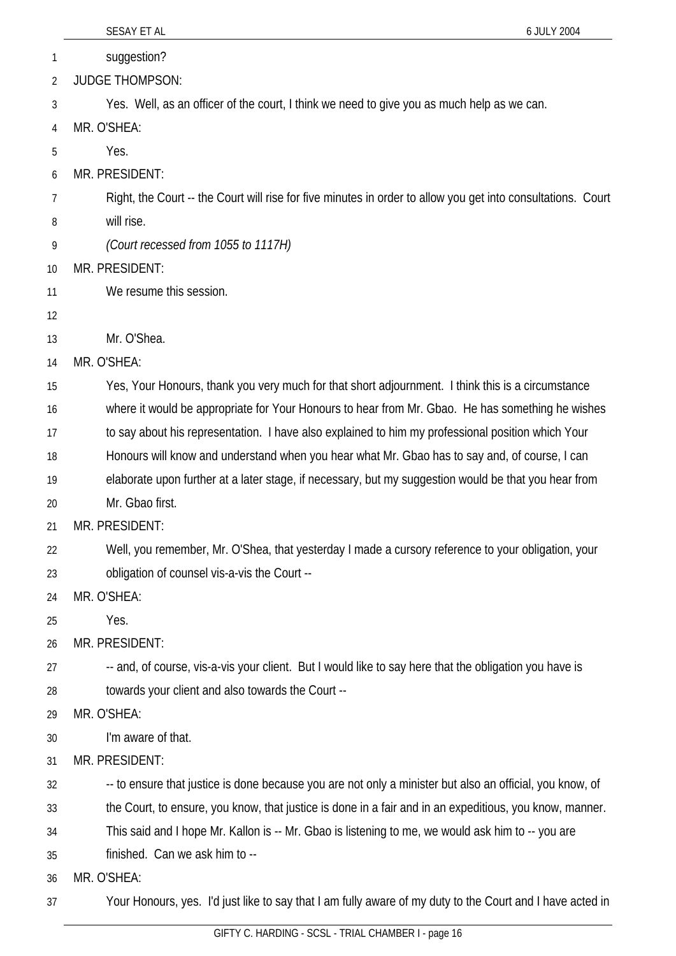|    | SESAY ET AL<br>6 JULY 2004                                                                                   |
|----|--------------------------------------------------------------------------------------------------------------|
| 1  | suggestion?                                                                                                  |
| 2  | <b>JUDGE THOMPSON:</b>                                                                                       |
| 3  | Yes. Well, as an officer of the court, I think we need to give you as much help as we can.                   |
| 4  | MR. O'SHEA:                                                                                                  |
| 5  | Yes.                                                                                                         |
| 6  | MR. PRESIDENT:                                                                                               |
| 7  | Right, the Court -- the Court will rise for five minutes in order to allow you get into consultations. Court |
| 8  | will rise.                                                                                                   |
| 9  | (Court recessed from 1055 to 1117H)                                                                          |
| 10 | MR. PRESIDENT:                                                                                               |
| 11 | We resume this session.                                                                                      |
| 12 |                                                                                                              |
| 13 | Mr. O'Shea.                                                                                                  |
| 14 | MR. O'SHEA:                                                                                                  |
| 15 | Yes, Your Honours, thank you very much for that short adjournment. I think this is a circumstance            |
| 16 | where it would be appropriate for Your Honours to hear from Mr. Gbao. He has something he wishes             |
| 17 | to say about his representation. I have also explained to him my professional position which Your            |
| 18 | Honours will know and understand when you hear what Mr. Gbao has to say and, of course, I can                |
| 19 | elaborate upon further at a later stage, if necessary, but my suggestion would be that you hear from         |
| 20 | Mr. Gbao first.                                                                                              |
| 21 | MR. PRESIDENT:                                                                                               |
| 22 | Well, you remember, Mr. O'Shea, that yesterday I made a cursory reference to your obligation, your           |
| 23 | obligation of counsel vis-a-vis the Court --                                                                 |
| 24 | MR. O'SHEA:                                                                                                  |
| 25 | Yes.                                                                                                         |
| 26 | MR. PRESIDENT:                                                                                               |
| 27 | -- and, of course, vis-a-vis your client. But I would like to say here that the obligation you have is       |
| 28 | towards your client and also towards the Court --                                                            |
| 29 | MR. O'SHEA:                                                                                                  |
| 30 | I'm aware of that.                                                                                           |
| 31 | MR. PRESIDENT:                                                                                               |
| 32 | -- to ensure that justice is done because you are not only a minister but also an official, you know, of     |
| 33 | the Court, to ensure, you know, that justice is done in a fair and in an expeditious, you know, manner.      |
| 34 | This said and I hope Mr. Kallon is -- Mr. Gbao is listening to me, we would ask him to -- you are            |
| 35 | finished. Can we ask him to --                                                                               |
| 36 | MR. O'SHEA:                                                                                                  |

37 Your Honours, yes. I'd just like to say that I am fully aware of my duty to the Court and I have acted in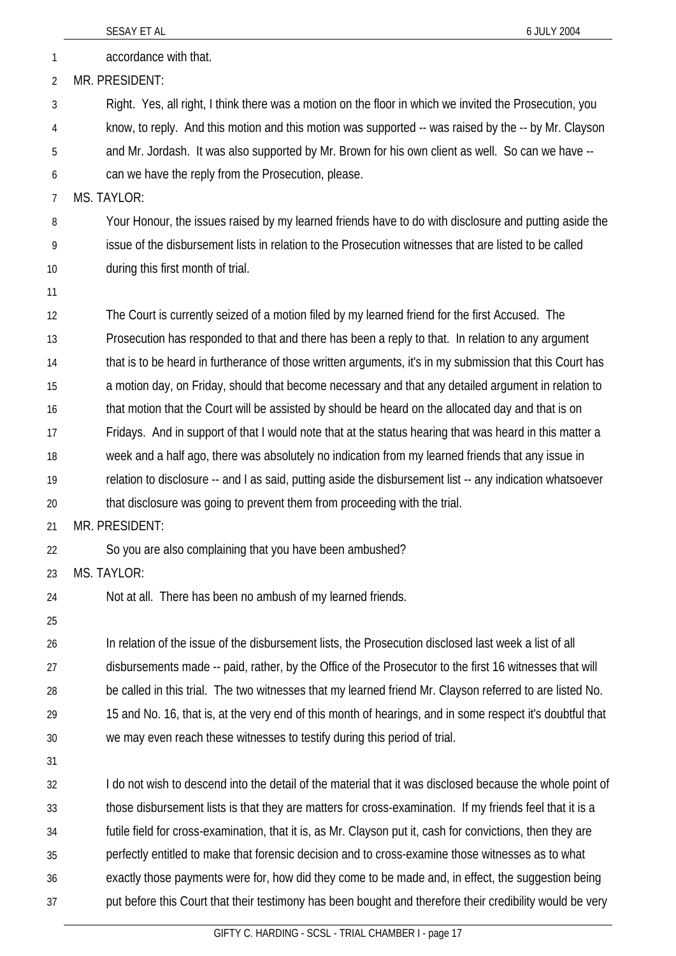|          | SESAY ET AL<br>6 JULY 2004                                                                                                                                                                                             |
|----------|------------------------------------------------------------------------------------------------------------------------------------------------------------------------------------------------------------------------|
| 1        | accordance with that.                                                                                                                                                                                                  |
| 2        | MR. PRESIDENT:                                                                                                                                                                                                         |
| 3        | Right. Yes, all right, I think there was a motion on the floor in which we invited the Prosecution, you                                                                                                                |
| 4        | know, to reply. And this motion and this motion was supported -- was raised by the -- by Mr. Clayson                                                                                                                   |
| 5        | and Mr. Jordash. It was also supported by Mr. Brown for his own client as well. So can we have --                                                                                                                      |
| 6        | can we have the reply from the Prosecution, please.                                                                                                                                                                    |
| 7        | MS. TAYLOR:                                                                                                                                                                                                            |
| 8        | Your Honour, the issues raised by my learned friends have to do with disclosure and putting aside the                                                                                                                  |
| 9        | issue of the disbursement lists in relation to the Prosecution witnesses that are listed to be called                                                                                                                  |
| 10       | during this first month of trial.                                                                                                                                                                                      |
| 11       |                                                                                                                                                                                                                        |
| 12       | The Court is currently seized of a motion filed by my learned friend for the first Accused. The                                                                                                                        |
| 13       | Prosecution has responded to that and there has been a reply to that. In relation to any argument                                                                                                                      |
| 14       | that is to be heard in furtherance of those written arguments, it's in my submission that this Court has                                                                                                               |
| 15       | a motion day, on Friday, should that become necessary and that any detailed argument in relation to                                                                                                                    |
| 16       | that motion that the Court will be assisted by should be heard on the allocated day and that is on                                                                                                                     |
| 17       | Fridays. And in support of that I would note that at the status hearing that was heard in this matter a                                                                                                                |
| 18       | week and a half ago, there was absolutely no indication from my learned friends that any issue in                                                                                                                      |
| 19       | relation to disclosure -- and I as said, putting aside the disbursement list -- any indication whatsoever                                                                                                              |
| 20       | that disclosure was going to prevent them from proceeding with the trial.                                                                                                                                              |
| 21       | MR. PRESIDENT:                                                                                                                                                                                                         |
| 22       | So you are also complaining that you have been ambushed?                                                                                                                                                               |
| 23       | MS. TAYLOR:                                                                                                                                                                                                            |
| 24       | Not at all. There has been no ambush of my learned friends.                                                                                                                                                            |
| 25       |                                                                                                                                                                                                                        |
| 26       | In relation of the issue of the disbursement lists, the Prosecution disclosed last week a list of all                                                                                                                  |
| 27       | disbursements made -- paid, rather, by the Office of the Prosecutor to the first 16 witnesses that will                                                                                                                |
| 28       | be called in this trial. The two witnesses that my learned friend Mr. Clayson referred to are listed No.                                                                                                               |
| 29       | 15 and No. 16, that is, at the very end of this month of hearings, and in some respect it's doubtful that                                                                                                              |
| 30       | we may even reach these witnesses to testify during this period of trial.                                                                                                                                              |
| 31       |                                                                                                                                                                                                                        |
| 32       | I do not wish to descend into the detail of the material that it was disclosed because the whole point of                                                                                                              |
| 33<br>34 | those disbursement lists is that they are matters for cross-examination. If my friends feel that it is a<br>futile field for cross-examination, that it is, as Mr. Clayson put it, cash for convictions, then they are |
| 35       | perfectly entitled to make that forensic decision and to cross-examine those witnesses as to what                                                                                                                      |
| 36       | exactly those payments were for, how did they come to be made and, in effect, the suggestion being                                                                                                                     |
| 37       | put before this Court that their testimony has been bought and therefore their credibility would be very                                                                                                               |
|          |                                                                                                                                                                                                                        |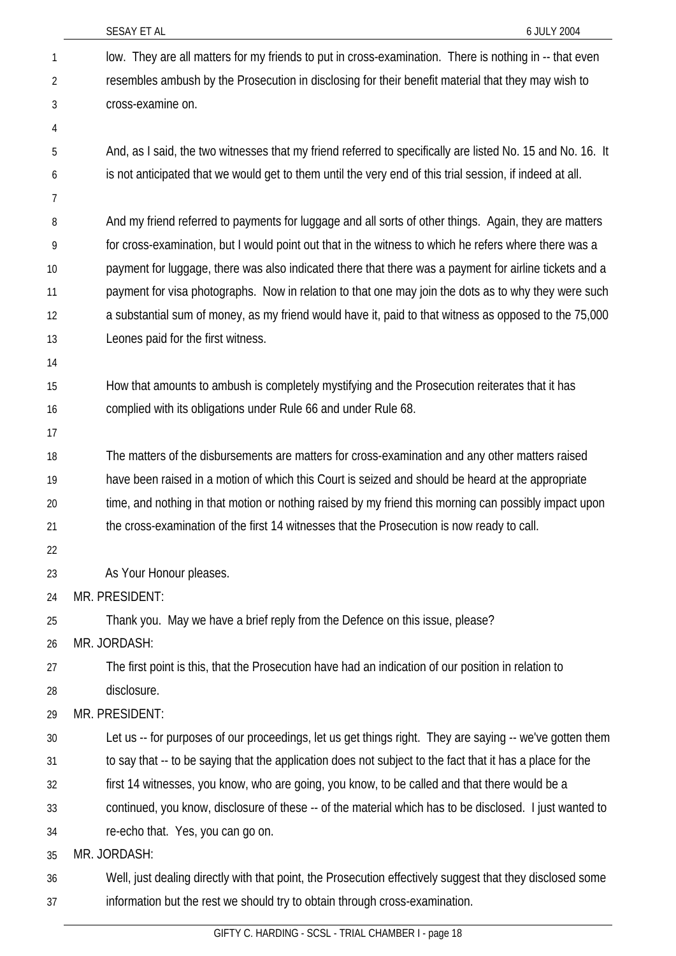|                | SESAY ET AL<br>6 JULY 2004                                                                                 |
|----------------|------------------------------------------------------------------------------------------------------------|
| 1              | low. They are all matters for my friends to put in cross-examination. There is nothing in -- that even     |
| $\overline{2}$ | resembles ambush by the Prosecution in disclosing for their benefit material that they may wish to         |
| 3              | cross-examine on.                                                                                          |
| 4              |                                                                                                            |
| 5              | And, as I said, the two witnesses that my friend referred to specifically are listed No. 15 and No. 16. It |
| 6              | is not anticipated that we would get to them until the very end of this trial session, if indeed at all.   |
| 7              |                                                                                                            |
| 8              | And my friend referred to payments for luggage and all sorts of other things. Again, they are matters      |
| 9              | for cross-examination, but I would point out that in the witness to which he refers where there was a      |
| 10             | payment for luggage, there was also indicated there that there was a payment for airline tickets and a     |
| 11             | payment for visa photographs. Now in relation to that one may join the dots as to why they were such       |
| 12             | a substantial sum of money, as my friend would have it, paid to that witness as opposed to the 75,000      |
| 13             | Leones paid for the first witness.                                                                         |
| 14             |                                                                                                            |
| 15             | How that amounts to ambush is completely mystifying and the Prosecution reiterates that it has             |
| 16             | complied with its obligations under Rule 66 and under Rule 68.                                             |
| 17             |                                                                                                            |
| 18             | The matters of the disbursements are matters for cross-examination and any other matters raised            |
| 19             | have been raised in a motion of which this Court is seized and should be heard at the appropriate          |
| 20             | time, and nothing in that motion or nothing raised by my friend this morning can possibly impact upon      |
| 21             | the cross-examination of the first 14 witnesses that the Prosecution is now ready to call.                 |
| 22             |                                                                                                            |
| 23             | As Your Honour pleases.                                                                                    |
| 24             | MR. PRESIDENT:                                                                                             |
| 25             | Thank you. May we have a brief reply from the Defence on this issue, please?                               |
| 26             | MR. JORDASH:                                                                                               |
| 27             | The first point is this, that the Prosecution have had an indication of our position in relation to        |
| 28             | disclosure.                                                                                                |
| 29             | MR. PRESIDENT:                                                                                             |
| 30             | Let us -- for purposes of our proceedings, let us get things right. They are saying -- we've gotten them   |
| 31             | to say that -- to be saying that the application does not subject to the fact that it has a place for the  |
| 32             | first 14 witnesses, you know, who are going, you know, to be called and that there would be a              |
| 33             | continued, you know, disclosure of these -- of the material which has to be disclosed. I just wanted to    |
| 34             | re-echo that. Yes, you can go on.                                                                          |
| 35             | MR. JORDASH:                                                                                               |
| 36             | Well, just dealing directly with that point, the Prosecution effectively suggest that they disclosed some  |
| 37             | information but the rest we should try to obtain through cross-examination.                                |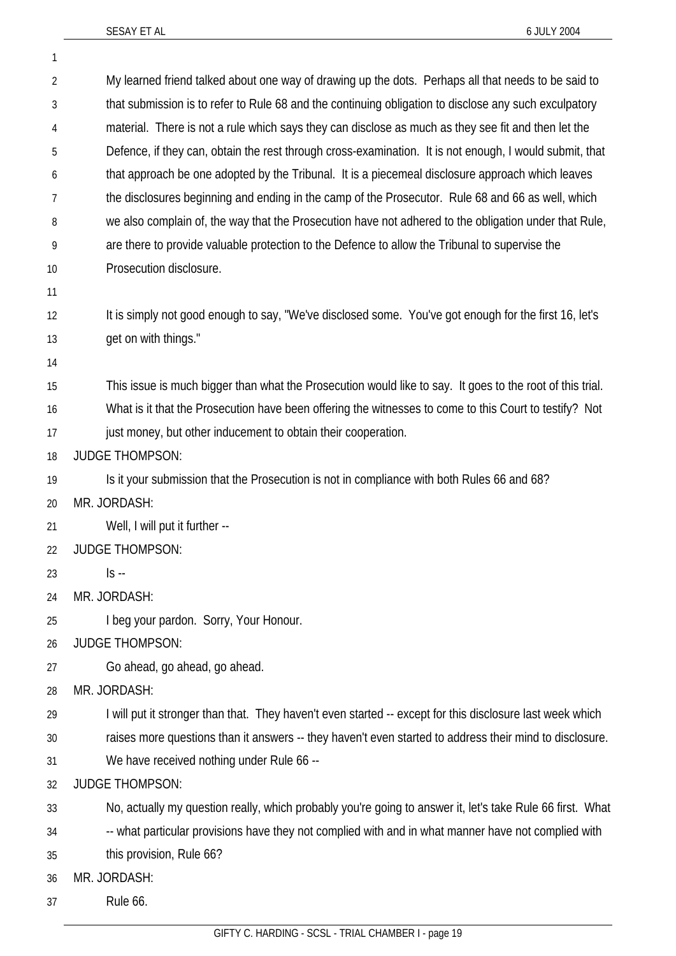1

| $\overline{2}$ | My learned friend talked about one way of drawing up the dots. Perhaps all that needs to be said to       |
|----------------|-----------------------------------------------------------------------------------------------------------|
| 3              | that submission is to refer to Rule 68 and the continuing obligation to disclose any such exculpatory     |
| 4              | material. There is not a rule which says they can disclose as much as they see fit and then let the       |
| 5              | Defence, if they can, obtain the rest through cross-examination. It is not enough, I would submit, that   |
| 6              | that approach be one adopted by the Tribunal. It is a piecemeal disclosure approach which leaves          |
| 7              | the disclosures beginning and ending in the camp of the Prosecutor. Rule 68 and 66 as well, which         |
| 8              | we also complain of, the way that the Prosecution have not adhered to the obligation under that Rule,     |
| 9              | are there to provide valuable protection to the Defence to allow the Tribunal to supervise the            |
| 10             | Prosecution disclosure.                                                                                   |
| 11             |                                                                                                           |
| 12             | It is simply not good enough to say, "We've disclosed some. You've got enough for the first 16, let's     |
| 13             | get on with things."                                                                                      |
| 14             |                                                                                                           |
| 15             | This issue is much bigger than what the Prosecution would like to say. It goes to the root of this trial. |
| 16             | What is it that the Prosecution have been offering the witnesses to come to this Court to testify? Not    |
| 17             | just money, but other inducement to obtain their cooperation.                                             |
| 18             | <b>JUDGE THOMPSON:</b>                                                                                    |
| 19             | Is it your submission that the Prosecution is not in compliance with both Rules 66 and 68?                |
| 20             | MR. JORDASH:                                                                                              |
| 21             | Well, I will put it further --                                                                            |
| 22             | <b>JUDGE THOMPSON:</b>                                                                                    |
| 23             | $\mathsf{S}$ --                                                                                           |
| 24             | MR. JORDASH:                                                                                              |
| 25             | I beg your pardon. Sorry, Your Honour.                                                                    |
| 26             | <b>JUDGE THOMPSON:</b>                                                                                    |
| 27             | Go ahead, go ahead, go ahead.                                                                             |
| 28             | MR. JORDASH:                                                                                              |
| 29             | I will put it stronger than that. They haven't even started -- except for this disclosure last week which |
| 30             | raises more questions than it answers -- they haven't even started to address their mind to disclosure.   |
| 31             | We have received nothing under Rule 66 --                                                                 |
| 32             | <b>JUDGE THOMPSON:</b>                                                                                    |
| 33             | No, actually my question really, which probably you're going to answer it, let's take Rule 66 first. What |
| 34             | -- what particular provisions have they not complied with and in what manner have not complied with       |
| 35             | this provision, Rule 66?                                                                                  |
| 36             | MR. JORDASH:                                                                                              |
| 37             | Rule 66.                                                                                                  |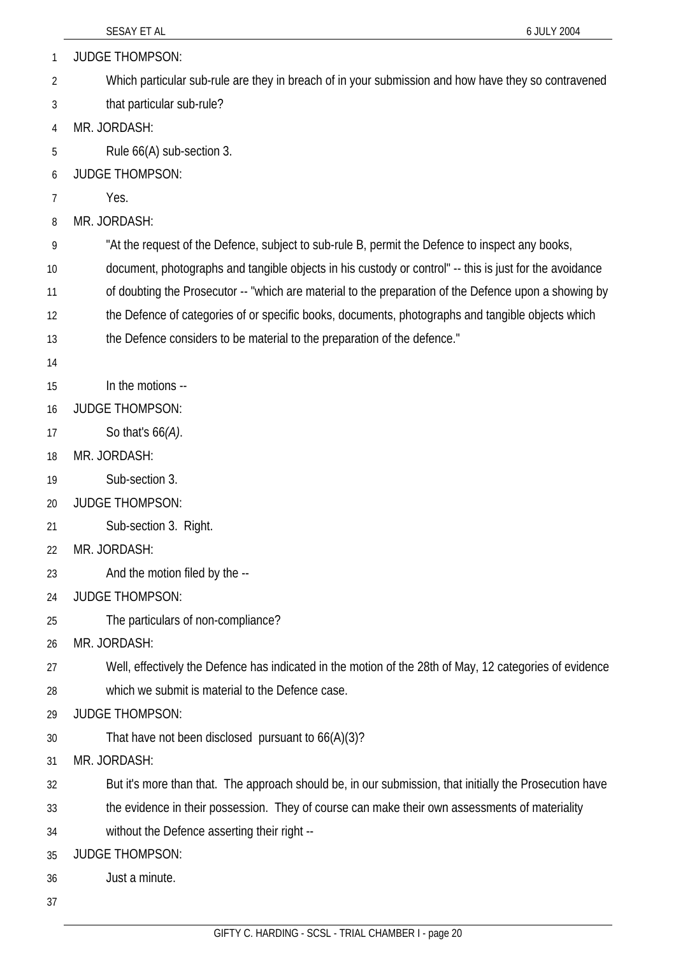| 1  | <b>JUDGE THOMPSON:</b>                                                                                  |
|----|---------------------------------------------------------------------------------------------------------|
| 2  | Which particular sub-rule are they in breach of in your submission and how have they so contravened     |
| 3  | that particular sub-rule?                                                                               |
| 4  | MR. JORDASH:                                                                                            |
| 5  | Rule 66(A) sub-section 3.                                                                               |
| 6  | <b>JUDGE THOMPSON:</b>                                                                                  |
| 7  | Yes.                                                                                                    |
| 8  | MR. JORDASH:                                                                                            |
| 9  | "At the request of the Defence, subject to sub-rule B, permit the Defence to inspect any books,         |
| 10 | document, photographs and tangible objects in his custody or control" -- this is just for the avoidance |
| 11 | of doubting the Prosecutor -- "which are material to the preparation of the Defence upon a showing by   |
| 12 | the Defence of categories of or specific books, documents, photographs and tangible objects which       |
| 13 | the Defence considers to be material to the preparation of the defence."                                |
| 14 |                                                                                                         |
| 15 | In the motions --                                                                                       |
| 16 | <b>JUDGE THOMPSON:</b>                                                                                  |
| 17 | So that's $66(A)$ .                                                                                     |
| 18 | MR. JORDASH:                                                                                            |
| 19 | Sub-section 3.                                                                                          |
| 20 | <b>JUDGE THOMPSON:</b>                                                                                  |
| 21 | Sub-section 3. Right.                                                                                   |
| 22 | MR. JORDASH:                                                                                            |
| 23 | And the motion filed by the --                                                                          |
| 24 | <b>JUDGE THOMPSON:</b>                                                                                  |
| 25 | The particulars of non-compliance?                                                                      |
| 26 | MR. JORDASH:                                                                                            |
| 27 | Well, effectively the Defence has indicated in the motion of the 28th of May, 12 categories of evidence |
| 28 | which we submit is material to the Defence case.                                                        |
| 29 | <b>JUDGE THOMPSON:</b>                                                                                  |
| 30 | That have not been disclosed pursuant to 66(A)(3)?                                                      |
| 31 | MR. JORDASH:                                                                                            |
| 32 | But it's more than that. The approach should be, in our submission, that initially the Prosecution have |
| 33 | the evidence in their possession. They of course can make their own assessments of materiality          |
| 34 | without the Defence asserting their right --                                                            |
| 35 | <b>JUDGE THOMPSON:</b>                                                                                  |
| 36 | Just a minute.                                                                                          |
|    |                                                                                                         |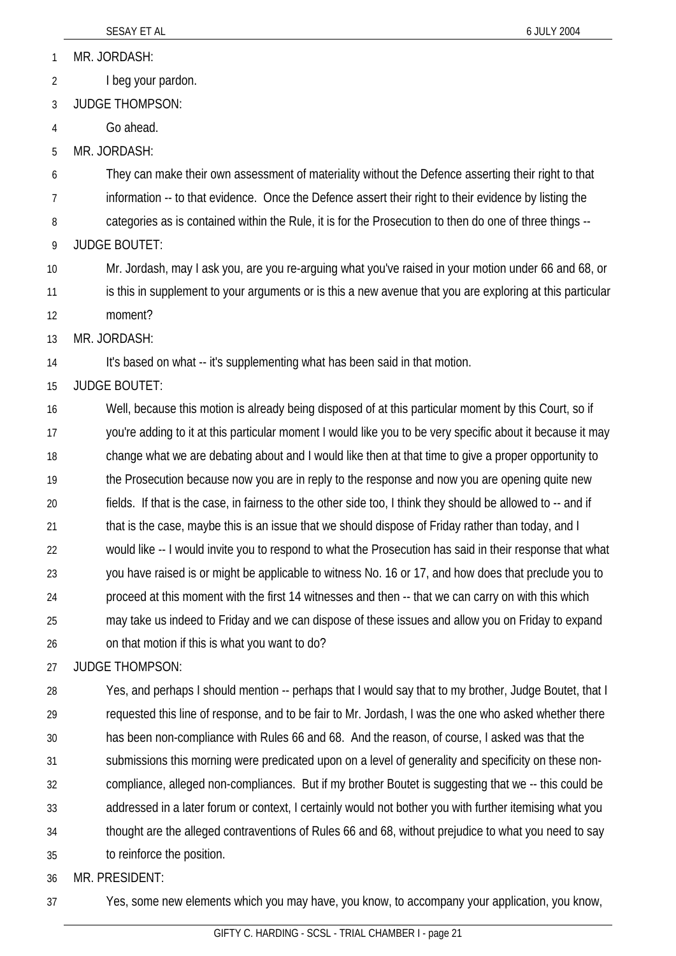MR. JORDASH: 1

- I beg your pardon. 2
- 3 JUDGE THOMPSON:
- 4 Go ahead.
- 5 MR. JORDASH:

6 7 They can make their own assessment of materiality without the Defence asserting their right to that information -- to that evidence. Once the Defence assert their right to their evidence by listing the

- 8 categories as is contained within the Rule, it is for the Prosecution to then do one of three things --
- 9 JUDGE BOUTET:

10 11 12 Mr. Jordash, may I ask you, are you re-arguing what you've raised in your motion under 66 and 68, or is this in supplement to your arguments or is this a new avenue that you are exploring at this particular moment?

13 MR. JORDASH:

14 It's based on what -- it's supplementing what has been said in that motion.

15 JUDGE BOUTET:

16 17 18 19 20 21 22 23 24 25 26 Well, because this motion is already being disposed of at this particular moment by this Court, so if you're adding to it at this particular moment I would like you to be very specific about it because it may change what we are debating about and I would like then at that time to give a proper opportunity to the Prosecution because now you are in reply to the response and now you are opening quite new fields. If that is the case, in fairness to the other side too, I think they should be allowed to -- and if that is the case, maybe this is an issue that we should dispose of Friday rather than today, and I would like -- I would invite you to respond to what the Prosecution has said in their response that what you have raised is or might be applicable to witness No. 16 or 17, and how does that preclude you to proceed at this moment with the first 14 witnesses and then -- that we can carry on with this which may take us indeed to Friday and we can dispose of these issues and allow you on Friday to expand on that motion if this is what you want to do?

27 JUDGE THOMPSON:

28 29 30 31 32 33 34 35 Yes, and perhaps I should mention -- perhaps that I would say that to my brother, Judge Boutet, that I requested this line of response, and to be fair to Mr. Jordash, I was the one who asked whether there has been non-compliance with Rules 66 and 68. And the reason, of course, I asked was that the submissions this morning were predicated upon on a level of generality and specificity on these noncompliance, alleged non-compliances. But if my brother Boutet is suggesting that we -- this could be addressed in a later forum or context, I certainly would not bother you with further itemising what you thought are the alleged contraventions of Rules 66 and 68, without prejudice to what you need to say to reinforce the position.

36 MR. PRESIDENT:

37 Yes, some new elements which you may have, you know, to accompany your application, you know,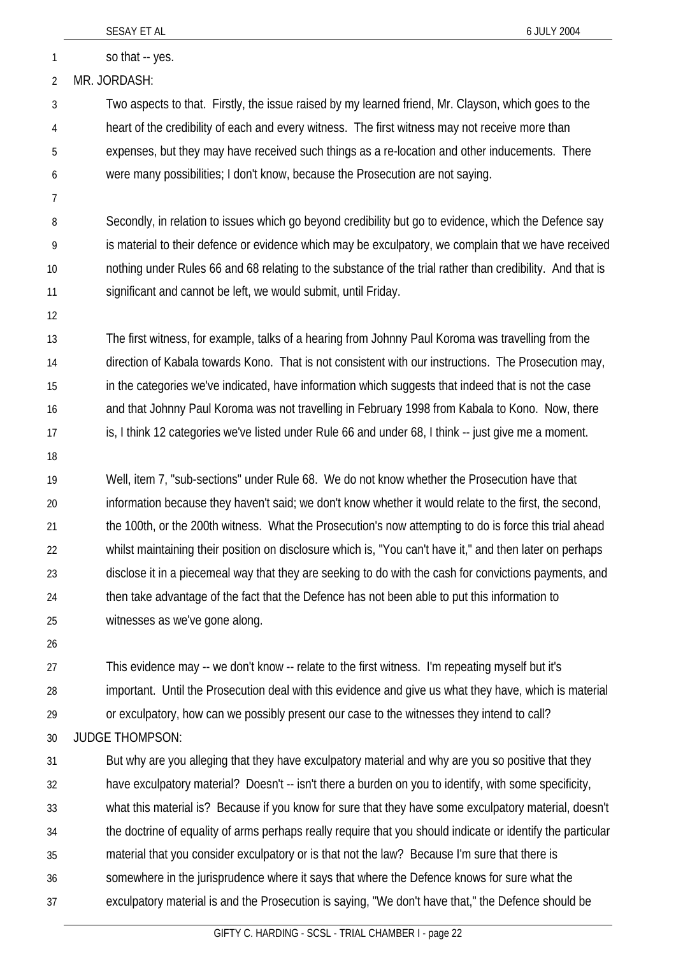| $\overline{2}$ | MR. JORDASH:                                                                                                |
|----------------|-------------------------------------------------------------------------------------------------------------|
| 3              | Two aspects to that. Firstly, the issue raised by my learned friend, Mr. Clayson, which goes to the         |
| 4              | heart of the credibility of each and every witness. The first witness may not receive more than             |
| 5              | expenses, but they may have received such things as a re-location and other inducements. There              |
| 6              | were many possibilities; I don't know, because the Prosecution are not saying.                              |
| 7              |                                                                                                             |
| 8              | Secondly, in relation to issues which go beyond credibility but go to evidence, which the Defence say       |
| 9              | is material to their defence or evidence which may be exculpatory, we complain that we have received        |
| 10             | nothing under Rules 66 and 68 relating to the substance of the trial rather than credibility. And that is   |
| 11             | significant and cannot be left, we would submit, until Friday.                                              |
| 12             |                                                                                                             |
| 13             | The first witness, for example, talks of a hearing from Johnny Paul Koroma was travelling from the          |
| 14             | direction of Kabala towards Kono. That is not consistent with our instructions. The Prosecution may,        |
| 15             | in the categories we've indicated, have information which suggests that indeed that is not the case         |
| 16             | and that Johnny Paul Koroma was not travelling in February 1998 from Kabala to Kono. Now, there             |
| 17             | is, I think 12 categories we've listed under Rule 66 and under 68, I think -- just give me a moment.        |
| 18             |                                                                                                             |
| 19             | Well, item 7, "sub-sections" under Rule 68. We do not know whether the Prosecution have that                |
| 20             | information because they haven't said; we don't know whether it would relate to the first, the second,      |
| 21             | the 100th, or the 200th witness. What the Prosecution's now attempting to do is force this trial ahead      |
| 22             | whilst maintaining their position on disclosure which is, "You can't have it," and then later on perhaps    |
| 23             | disclose it in a piecemeal way that they are seeking to do with the cash for convictions payments, and      |
| 24             | then take advantage of the fact that the Defence has not been able to put this information to               |
| 25             | witnesses as we've gone along.                                                                              |
| 26             |                                                                                                             |
| 27             | This evidence may -- we don't know -- relate to the first witness. I'm repeating myself but it's            |
| 28             | important. Until the Prosecution deal with this evidence and give us what they have, which is material      |
| 29             | or exculpatory, how can we possibly present our case to the witnesses they intend to call?                  |
| 30             | <b>JUDGE THOMPSON:</b>                                                                                      |
| 31             | But why are you alleging that they have exculpatory material and why are you so positive that they          |
| 32             | have exculpatory material? Doesn't -- isn't there a burden on you to identify, with some specificity,       |
| 33             | what this material is? Because if you know for sure that they have some exculpatory material, doesn't       |
| 34             | the doctrine of equality of arms perhaps really require that you should indicate or identify the particular |
| 35             | material that you consider exculpatory or is that not the law? Because I'm sure that there is               |
| 36             | somewhere in the jurisprudence where it says that where the Defence knows for sure what the                 |
| 37             | exculpatory material is and the Prosecution is saying, "We don't have that," the Defence should be          |
|                | GIFTY C. HARDING - SCSL - TRIAL CHAMBER I - page 22                                                         |
|                |                                                                                                             |

SESAY ET AL 6 JULY 2004

1 so that -- yes.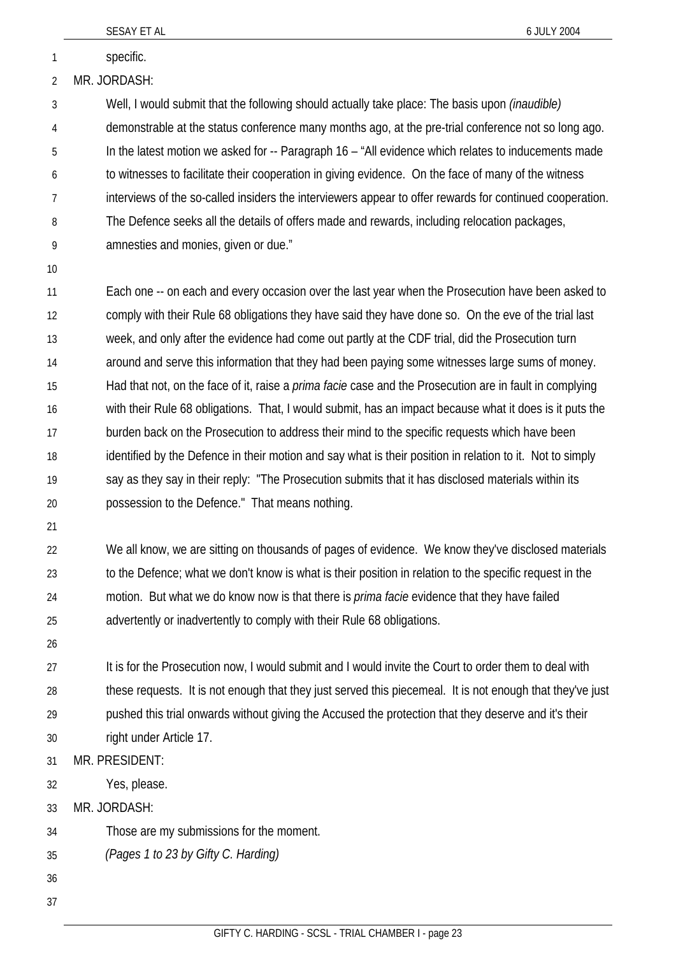|              | SESAY ET AL                                                                                           | 6 JULY 2004                                                                                                    |
|--------------|-------------------------------------------------------------------------------------------------------|----------------------------------------------------------------------------------------------------------------|
| $\mathbf{1}$ | specific.                                                                                             |                                                                                                                |
| 2            | MR. JORDASH:                                                                                          |                                                                                                                |
| 3            | Well, I would submit that the following should actually take place: The basis upon <i>(inaudible)</i> |                                                                                                                |
| 4            |                                                                                                       | demonstrable at the status conference many months ago, at the pre-trial conference not so long ago.            |
| 5            |                                                                                                       | In the latest motion we asked for -- Paragraph 16 - "All evidence which relates to inducements made            |
| 6            | to witnesses to facilitate their cooperation in giving evidence. On the face of many of the witness   |                                                                                                                |
| 7            |                                                                                                       | interviews of the so-called insiders the interviewers appear to offer rewards for continued cooperation.       |
| 8            | The Defence seeks all the details of offers made and rewards, including relocation packages,          |                                                                                                                |
| 9            | amnesties and monies, given or due."                                                                  |                                                                                                                |
| 10           |                                                                                                       |                                                                                                                |
| 11           |                                                                                                       | Each one -- on each and every occasion over the last year when the Prosecution have been asked to              |
| 12           |                                                                                                       | comply with their Rule 68 obligations they have said they have done so. On the eve of the trial last           |
| 13           | week, and only after the evidence had come out partly at the CDF trial, did the Prosecution turn      |                                                                                                                |
| 14           |                                                                                                       | around and serve this information that they had been paying some witnesses large sums of money.                |
| 15           |                                                                                                       | Had that not, on the face of it, raise a <i>prima facie</i> case and the Prosecution are in fault in complying |
| 16           |                                                                                                       | with their Rule 68 obligations. That, I would submit, has an impact because what it does is it puts the        |
| 17           | burden back on the Prosecution to address their mind to the specific requests which have been         |                                                                                                                |
| 18           |                                                                                                       | identified by the Defence in their motion and say what is their position in relation to it. Not to simply      |
| 19           | say as they say in their reply: "The Prosecution submits that it has disclosed materials within its   |                                                                                                                |
| 20           | possession to the Defence." That means nothing.                                                       |                                                                                                                |
| 21           |                                                                                                       |                                                                                                                |
| 22           |                                                                                                       | We all know, we are sitting on thousands of pages of evidence. We know they've disclosed materials             |
| 23           |                                                                                                       | to the Defence; what we don't know is what is their position in relation to the specific request in the        |
| 24           | motion. But what we do know now is that there is <i>prima facie</i> evidence that they have failed    |                                                                                                                |
| 25           | advertently or inadvertently to comply with their Rule 68 obligations.                                |                                                                                                                |

26

27 28 29 30 It is for the Prosecution now, I would submit and I would invite the Court to order them to deal with these requests. It is not enough that they just served this piecemeal. It is not enough that they've just pushed this trial onwards without giving the Accused the protection that they deserve and it's their right under Article 17.

- 31 MR. PRESIDENT:
- 32 Yes, please.
- 33 MR. JORDASH:
- 34 Those are my submissions for the moment.
- 35 *(Pages 1 to 23 by Gifty C. Harding)*
- 36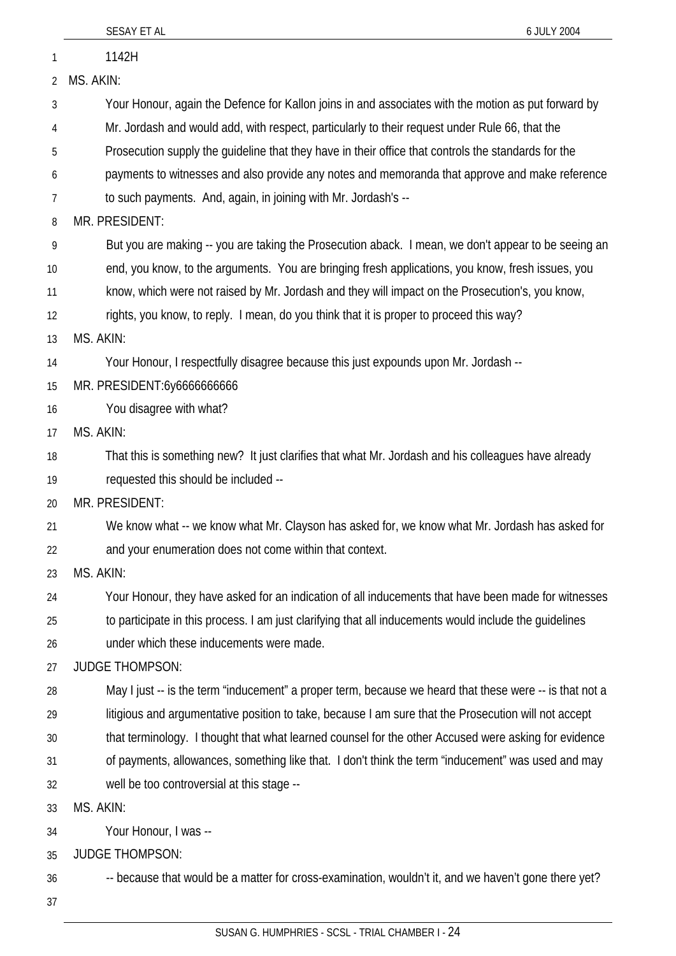|    | SESAY ET AL<br>6 JULY 2004                                                                              |
|----|---------------------------------------------------------------------------------------------------------|
| 1  | 1142H                                                                                                   |
| 2  | MS. AKIN:                                                                                               |
| 3  | Your Honour, again the Defence for Kallon joins in and associates with the motion as put forward by     |
| 4  | Mr. Jordash and would add, with respect, particularly to their request under Rule 66, that the          |
| 5  | Prosecution supply the guideline that they have in their office that controls the standards for the     |
| 6  | payments to witnesses and also provide any notes and memoranda that approve and make reference          |
| 7  | to such payments. And, again, in joining with Mr. Jordash's --                                          |
| 8  | MR. PRESIDENT:                                                                                          |
| 9  | But you are making -- you are taking the Prosecution aback. I mean, we don't appear to be seeing an     |
| 10 | end, you know, to the arguments. You are bringing fresh applications, you know, fresh issues, you       |
| 11 | know, which were not raised by Mr. Jordash and they will impact on the Prosecution's, you know,         |
| 12 | rights, you know, to reply. I mean, do you think that it is proper to proceed this way?                 |
| 13 | MS. AKIN:                                                                                               |
| 14 | Your Honour, I respectfully disagree because this just expounds upon Mr. Jordash --                     |
| 15 | MR. PRESIDENT:6y6666666666                                                                              |
| 16 | You disagree with what?                                                                                 |
| 17 | MS. AKIN:                                                                                               |
| 18 | That this is something new? It just clarifies that what Mr. Jordash and his colleagues have already     |
| 19 | requested this should be included --                                                                    |
| 20 | MR. PRESIDENT:                                                                                          |
| 21 | We know what -- we know what Mr. Clayson has asked for, we know what Mr. Jordash has asked for          |
| 22 | and your enumeration does not come within that context.                                                 |
| 23 | MS. AKIN:                                                                                               |
| 24 | Your Honour, they have asked for an indication of all inducements that have been made for witnesses     |
| 25 | to participate in this process. I am just clarifying that all inducements would include the guidelines  |
| 26 | under which these inducements were made.                                                                |
| 27 | <b>JUDGE THOMPSON:</b>                                                                                  |
| 28 | May I just -- is the term "inducement" a proper term, because we heard that these were -- is that not a |
| 29 | litigious and argumentative position to take, because I am sure that the Prosecution will not accept    |
| 30 | that terminology. I thought that what learned counsel for the other Accused were asking for evidence    |
| 31 | of payments, allowances, something like that. I don't think the term "inducement" was used and may      |
| 32 | well be too controversial at this stage --                                                              |
| 33 | MS. AKIN:                                                                                               |
| 34 | Your Honour, I was --                                                                                   |
| 35 | <b>JUDGE THOMPSON:</b>                                                                                  |
| 36 | -- because that would be a matter for cross-examination, wouldn't it, and we haven't gone there yet?    |
| 37 |                                                                                                         |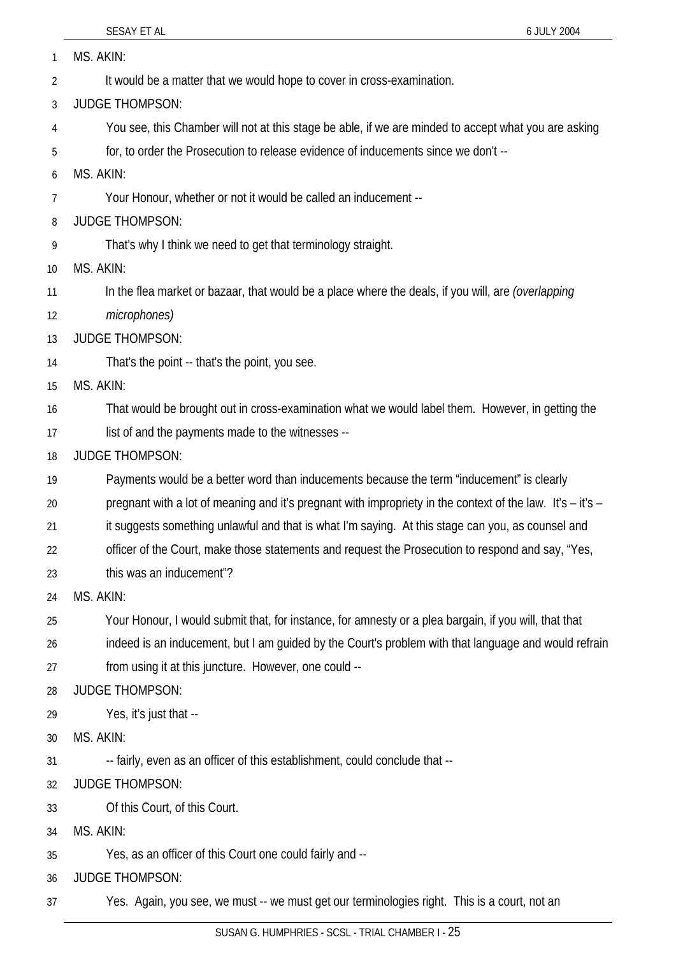37

| 1  | MS. AKIN:                                                                                                  |
|----|------------------------------------------------------------------------------------------------------------|
| 2  | It would be a matter that we would hope to cover in cross-examination.                                     |
| 3  | <b>JUDGE THOMPSON:</b>                                                                                     |
| 4  | You see, this Chamber will not at this stage be able, if we are minded to accept what you are asking       |
| 5  | for, to order the Prosecution to release evidence of inducements since we don't --                         |
| 6  | MS. AKIN:                                                                                                  |
| 7  | Your Honour, whether or not it would be called an inducement --                                            |
| 8  | <b>JUDGE THOMPSON:</b>                                                                                     |
| 9  | That's why I think we need to get that terminology straight.                                               |
| 10 | MS. AKIN:                                                                                                  |
| 11 | In the flea market or bazaar, that would be a place where the deals, if you will, are <i>(overlapping</i>  |
| 12 | microphones)                                                                                               |
| 13 | <b>JUDGE THOMPSON:</b>                                                                                     |
| 14 | That's the point -- that's the point, you see.                                                             |
| 15 | MS. AKIN:                                                                                                  |
| 16 | That would be brought out in cross-examination what we would label them. However, in getting the           |
| 17 | list of and the payments made to the witnesses --                                                          |
| 18 | <b>JUDGE THOMPSON:</b>                                                                                     |
| 19 | Payments would be a better word than inducements because the term "inducement" is clearly                  |
| 20 | pregnant with a lot of meaning and it's pregnant with impropriety in the context of the law. It's – it's – |
| 21 | it suggests something unlawful and that is what I'm saying. At this stage can you, as counsel and          |
| 22 | officer of the Court, make those statements and request the Prosecution to respond and say, "Yes,          |
| 23 | this was an inducement"?                                                                                   |
| 24 | MS. AKIN:                                                                                                  |
| 25 | Your Honour, I would submit that, for instance, for amnesty or a plea bargain, if you will, that that      |
| 26 | indeed is an inducement, but I am guided by the Court's problem with that language and would refrain       |
| 27 | from using it at this juncture. However, one could --                                                      |
| 28 | <b>JUDGE THOMPSON:</b>                                                                                     |
| 29 | Yes, it's just that --                                                                                     |
| 30 | MS. AKIN:                                                                                                  |
| 31 | -- fairly, even as an officer of this establishment, could conclude that --                                |
| 32 | <b>JUDGE THOMPSON:</b>                                                                                     |
| 33 | Of this Court, of this Court.                                                                              |
| 34 | MS. AKIN:                                                                                                  |
| 35 | Yes, as an officer of this Court one could fairly and --                                                   |
| 36 | JUDGE THOMPSON:                                                                                            |

SUSAN G. HUMPHRIES - SCSL - TRIAL CHAMBER I - 25

Yes. Again, you see, we must -- we must get our terminologies right. This is a court, not an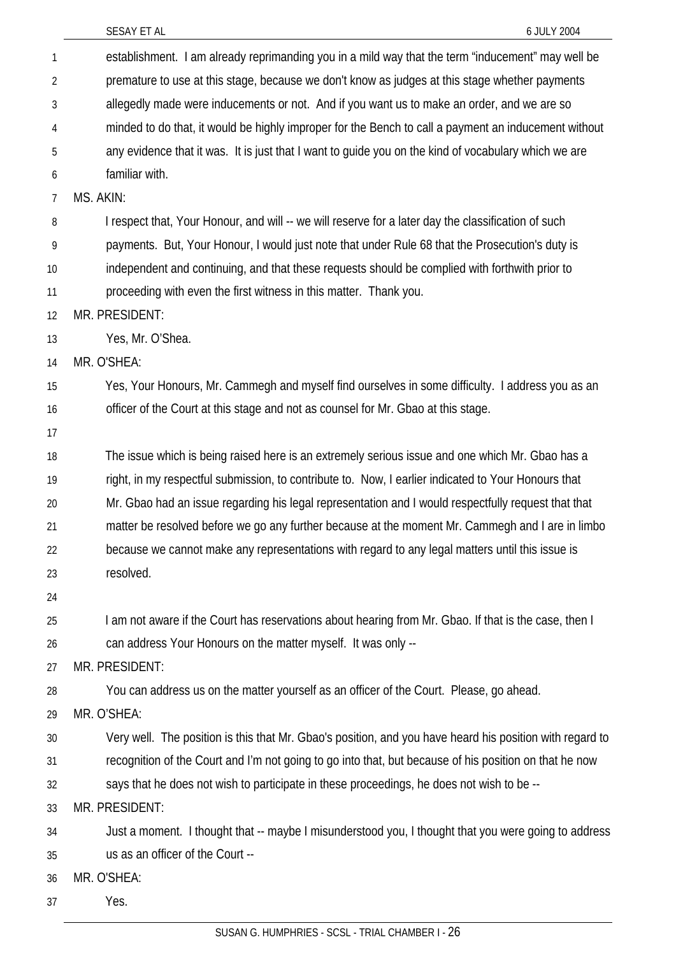| $\mathbf{1}$ | establishment. I am already reprimanding you in a mild way that the term "inducement" may well be        |
|--------------|----------------------------------------------------------------------------------------------------------|
| 2            | premature to use at this stage, because we don't know as judges at this stage whether payments           |
| 3            | allegedly made were inducements or not. And if you want us to make an order, and we are so               |
| 4            | minded to do that, it would be highly improper for the Bench to call a payment an inducement without     |
| 5            | any evidence that it was. It is just that I want to guide you on the kind of vocabulary which we are     |
| 6            | familiar with.                                                                                           |
| 7            | MS. AKIN:                                                                                                |
| 8            | I respect that, Your Honour, and will -- we will reserve for a later day the classification of such      |
| 9            | payments. But, Your Honour, I would just note that under Rule 68 that the Prosecution's duty is          |
| 10           | independent and continuing, and that these requests should be complied with forthwith prior to           |
| 11           | proceeding with even the first witness in this matter. Thank you.                                        |
| 12           | MR. PRESIDENT:                                                                                           |
| 13           | Yes, Mr. O'Shea.                                                                                         |
| 14           | MR. O'SHEA:                                                                                              |
| 15           | Yes, Your Honours, Mr. Cammegh and myself find ourselves in some difficulty. I address you as an         |
| 16           | officer of the Court at this stage and not as counsel for Mr. Gbao at this stage.                        |
| 17           |                                                                                                          |
| 18           | The issue which is being raised here is an extremely serious issue and one which Mr. Gbao has a          |
| 19           | right, in my respectful submission, to contribute to. Now, I earlier indicated to Your Honours that      |
| 20           | Mr. Gbao had an issue regarding his legal representation and I would respectfully request that that      |
| 21           | matter be resolved before we go any further because at the moment Mr. Cammegh and I are in limbo         |
| 22           | because we cannot make any representations with regard to any legal matters until this issue is          |
| 23           | resolved.                                                                                                |
| 24           |                                                                                                          |
| 25           | I am not aware if the Court has reservations about hearing from Mr. Gbao. If that is the case, then I    |
| 26           | can address Your Honours on the matter myself. It was only --                                            |
| 27           | MR. PRESIDENT:                                                                                           |
| 28           | You can address us on the matter yourself as an officer of the Court. Please, go ahead.                  |
| 29           | MR. O'SHEA:                                                                                              |
| 30           | Very well. The position is this that Mr. Gbao's position, and you have heard his position with regard to |
| 31           | recognition of the Court and I'm not going to go into that, but because of his position on that he now   |
| 32           | says that he does not wish to participate in these proceedings, he does not wish to be --                |
| 33           | MR. PRESIDENT:                                                                                           |
| 34           | Just a moment. I thought that -- maybe I misunderstood you, I thought that you were going to address     |
| 35           | us as an officer of the Court --                                                                         |
| 36           | MR. O'SHEA:                                                                                              |
| 37           | Yes.                                                                                                     |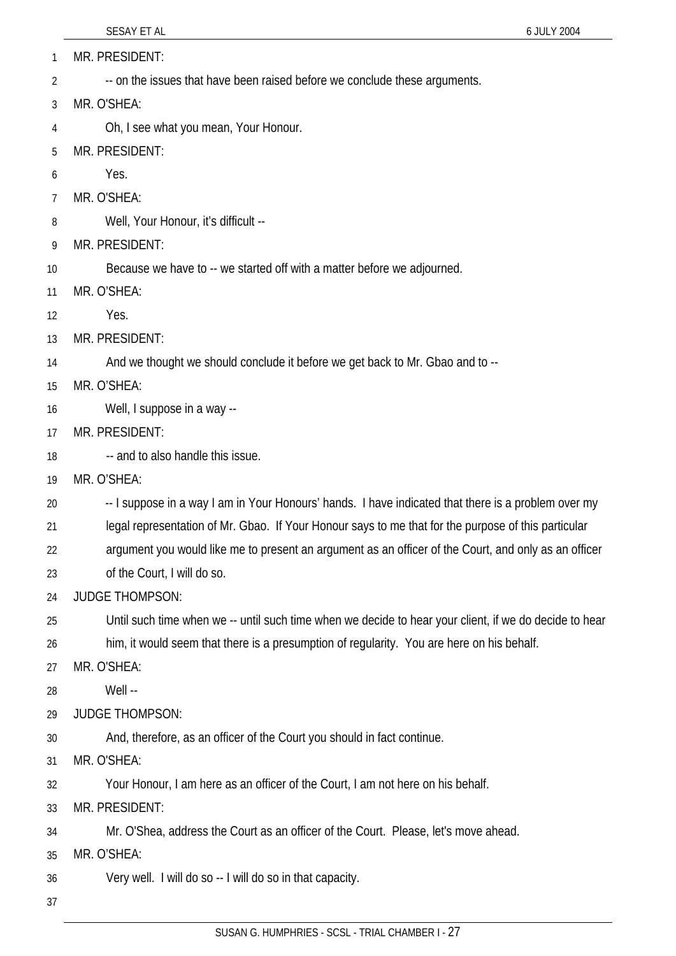1 MR. PRESIDENT:

- 2 -- on the issues that have been raised before we conclude these arguments.
- 3 MR. O'SHEA:
- 4 Oh, I see what you mean, Your Honour.
- 5 MR. PRESIDENT:
- 6 Yes.
- 7 MR. O'SHEA:
- 8 Well, Your Honour, it's difficult --
- 9 MR. PRESIDENT:
- 10 Because we have to -- we started off with a matter before we adjourned.
- 11 MR. O'SHEA:
- 12 Yes.
- 13 MR. PRESIDENT:
- 14 And we thought we should conclude it before we get back to Mr. Gbao and to --
- 15 MR. O'SHEA:
- 16 Well, I suppose in a way --
- 17 MR. PRESIDENT:
- 18 -- and to also handle this issue.
- 19 MR. O'SHEA:
- 20 -- I suppose in a way I am in Your Honours' hands. I have indicated that there is a problem over my
- 21 legal representation of Mr. Gbao. If Your Honour says to me that for the purpose of this particular
- 22 argument you would like me to present an argument as an officer of the Court, and only as an officer
- 23 of the Court, I will do so.
- 24 JUDGE THOMPSON:
- 25 Until such time when we -- until such time when we decide to hear your client, if we do decide to hear
- 26 him, it would seem that there is a presumption of regularity. You are here on his behalf.
- 27 MR. O'SHEA:
- 28 Well --
- 29 JUDGE THOMPSON:
- 30 And, therefore, as an officer of the Court you should in fact continue.
- 31 MR. O'SHEA:
- 32 Your Honour, I am here as an officer of the Court, I am not here on his behalf.
- 33 MR. PRESIDENT:
- 34 Mr. O'Shea, address the Court as an officer of the Court. Please, let's move ahead.
- 35 MR. O'SHEA:
- 36 Very well. I will do so -- I will do so in that capacity.
- 37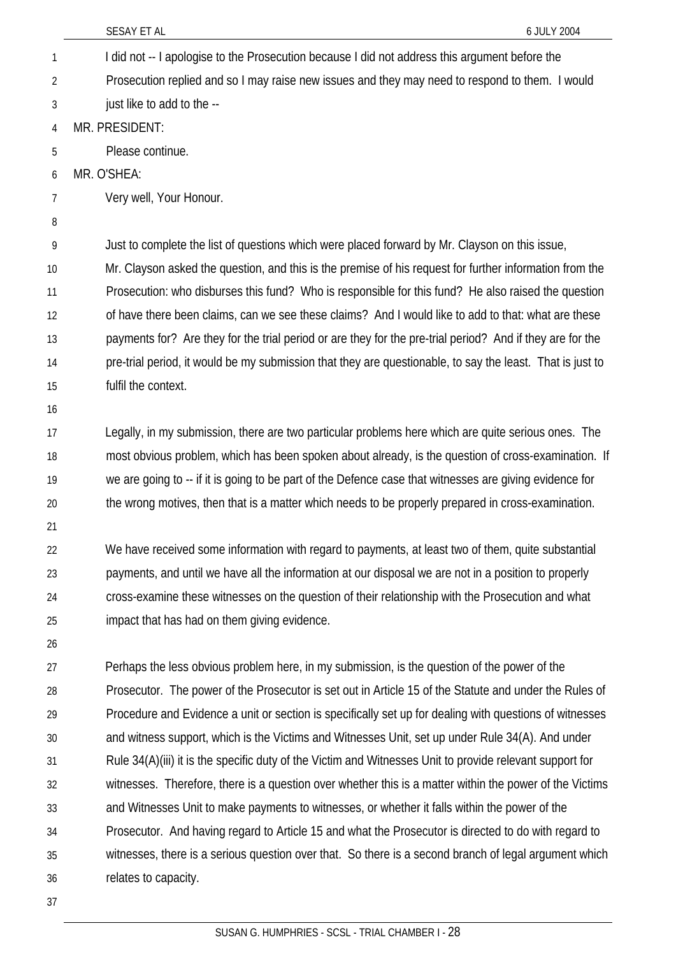|    | SESAY ET AL<br>6 JULY 2004                                                                                |
|----|-----------------------------------------------------------------------------------------------------------|
| 1  | I did not -- I apologise to the Prosecution because I did not address this argument before the            |
| 2  | Prosecution replied and so I may raise new issues and they may need to respond to them. I would           |
| 3  | just like to add to the --                                                                                |
| 4  | MR. PRESIDENT:                                                                                            |
| 5  | Please continue.                                                                                          |
| 6  | MR. O'SHEA:                                                                                               |
| 7  | Very well, Your Honour.                                                                                   |
| 8  |                                                                                                           |
| 9  | Just to complete the list of questions which were placed forward by Mr. Clayson on this issue,            |
| 10 | Mr. Clayson asked the question, and this is the premise of his request for further information from the   |
| 11 | Prosecution: who disburses this fund? Who is responsible for this fund? He also raised the question       |
| 12 | of have there been claims, can we see these claims? And I would like to add to that: what are these       |
| 13 | payments for? Are they for the trial period or are they for the pre-trial period? And if they are for the |
| 14 | pre-trial period, it would be my submission that they are questionable, to say the least. That is just to |
| 15 | fulfil the context.                                                                                       |
| 16 |                                                                                                           |
| 17 | Legally, in my submission, there are two particular problems here which are quite serious ones. The       |
| 18 | most obvious problem, which has been spoken about already, is the question of cross-examination. If       |
| 19 | we are going to -- if it is going to be part of the Defence case that witnesses are giving evidence for   |
| 20 | the wrong motives, then that is a matter which needs to be properly prepared in cross-examination.        |
| 21 |                                                                                                           |
| 22 | We have received some information with regard to payments, at least two of them, quite substantial        |
| 23 | payments, and until we have all the information at our disposal we are not in a position to properly      |
| 24 | cross-examine these witnesses on the question of their relationship with the Prosecution and what         |
| 25 | impact that has had on them giving evidence.                                                              |
| 26 |                                                                                                           |
| 27 | Perhaps the less obvious problem here, in my submission, is the question of the power of the              |
| 28 | Prosecutor. The power of the Prosecutor is set out in Article 15 of the Statute and under the Rules of    |
| 29 | Procedure and Evidence a unit or section is specifically set up for dealing with questions of witnesses   |
| 30 | and witness support, which is the Victims and Witnesses Unit, set up under Rule 34(A). And under          |
| 31 | Rule 34(A)(iii) it is the specific duty of the Victim and Witnesses Unit to provide relevant support for  |
| 32 | witnesses. Therefore, there is a question over whether this is a matter within the power of the Victims   |
| 33 | and Witnesses Unit to make payments to witnesses, or whether it falls within the power of the             |
| 34 | Prosecutor. And having regard to Article 15 and what the Prosecutor is directed to do with regard to      |
| 35 | witnesses, there is a serious question over that. So there is a second branch of legal argument which     |
| 36 | relates to capacity.                                                                                      |
| 37 |                                                                                                           |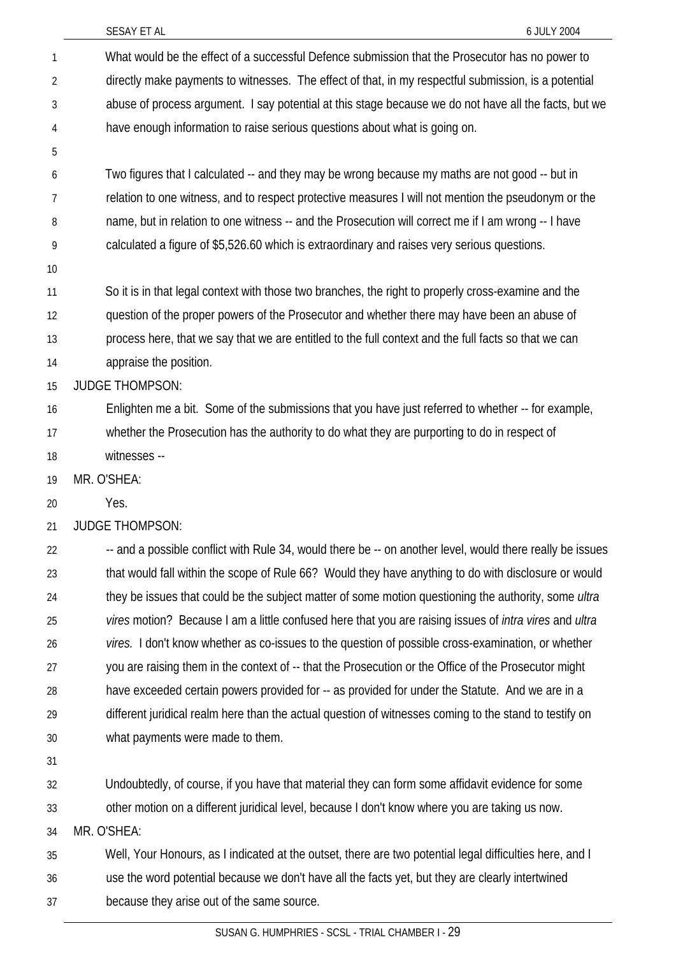|    | SESAY ET AL<br>6 JULY 2004                                                                                           |
|----|----------------------------------------------------------------------------------------------------------------------|
| 1  | What would be the effect of a successful Defence submission that the Prosecutor has no power to                      |
| 2  | directly make payments to witnesses. The effect of that, in my respectful submission, is a potential                 |
| 3  | abuse of process argument. I say potential at this stage because we do not have all the facts, but we                |
| 4  | have enough information to raise serious questions about what is going on.                                           |
| 5  |                                                                                                                      |
| 6  | Two figures that I calculated -- and they may be wrong because my maths are not good -- but in                       |
| 7  | relation to one witness, and to respect protective measures I will not mention the pseudonym or the                  |
| 8  | name, but in relation to one witness -- and the Prosecution will correct me if I am wrong -- I have                  |
| 9  | calculated a figure of \$5,526.60 which is extraordinary and raises very serious questions.                          |
| 10 |                                                                                                                      |
| 11 | So it is in that legal context with those two branches, the right to properly cross-examine and the                  |
| 12 | question of the proper powers of the Prosecutor and whether there may have been an abuse of                          |
| 13 | process here, that we say that we are entitled to the full context and the full facts so that we can                 |
| 14 | appraise the position.                                                                                               |
| 15 | <b>JUDGE THOMPSON:</b>                                                                                               |
| 16 | Enlighten me a bit. Some of the submissions that you have just referred to whether -- for example,                   |
| 17 | whether the Prosecution has the authority to do what they are purporting to do in respect of                         |
| 18 | witnesses --                                                                                                         |
| 19 | MR. O'SHEA:                                                                                                          |
| 20 | Yes.                                                                                                                 |
| 21 | <b>JUDGE THOMPSON:</b>                                                                                               |
| 22 | -- and a possible conflict with Rule 34, would there be -- on another level, would there really be issues            |
| 23 | that would fall within the scope of Rule 66? Would they have anything to do with disclosure or would                 |
| 24 | they be issues that could be the subject matter of some motion questioning the authority, some <i>ultra</i>          |
| 25 | vires motion? Because I am a little confused here that you are raising issues of <i>intra vires</i> and <i>ultra</i> |
| 26 | vires. I don't know whether as co-issues to the question of possible cross-examination, or whether                   |
| 27 | you are raising them in the context of -- that the Prosecution or the Office of the Prosecutor might                 |
| 28 | have exceeded certain powers provided for -- as provided for under the Statute. And we are in a                      |
| 29 | different juridical realm here than the actual question of witnesses coming to the stand to testify on               |
| 30 | what payments were made to them.                                                                                     |
| 31 |                                                                                                                      |
| 32 | Undoubtedly, of course, if you have that material they can form some affidavit evidence for some                     |
| 33 | other motion on a different juridical level, because I don't know where you are taking us now.                       |
| 34 | MR. O'SHEA:                                                                                                          |
| 35 | Well, Your Honours, as I indicated at the outset, there are two potential legal difficulties here, and I             |
| 36 | use the word potential because we don't have all the facts yet, but they are clearly intertwined                     |
| 37 | because they arise out of the same source.                                                                           |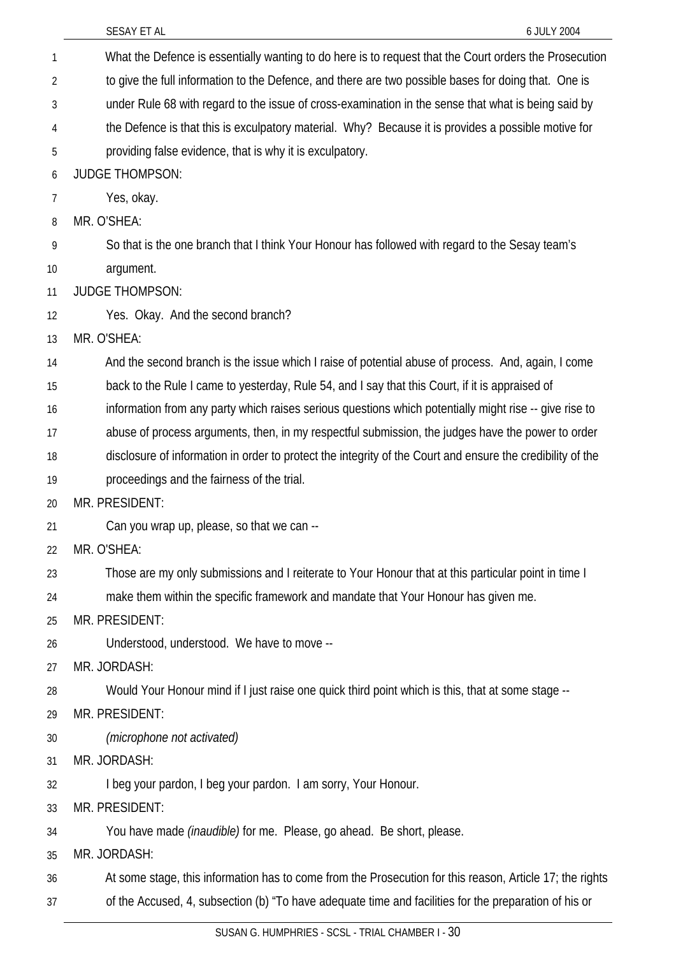SESAY ET AL 6 JULY 2004 What the Defence is essentially wanting to do here is to request that the Court orders the Prosecution to give the full information to the Defence, and there are two possible bases for doing that. One is under Rule 68 with regard to the issue of cross-examination in the sense that what is being said by the Defence is that this is exculpatory material. Why? Because it is provides a possible motive for providing false evidence, that is why it is exculpatory. 1 2 3 4 5 6 7 8 9 10 11 12 13 14 15 16 17 18 19 20 21 22 23 24 25 26 27 28 29 30 31 32 33 34 35 36 37 JUDGE THOMPSON: Yes, okay. MR. O'SHEA: So that is the one branch that I think Your Honour has followed with regard to the Sesay team's argument. JUDGE THOMPSON: Yes. Okay. And the second branch? MR. O'SHEA: And the second branch is the issue which I raise of potential abuse of process. And, again, I come back to the Rule I came to yesterday, Rule 54, and I say that this Court, if it is appraised of information from any party which raises serious questions which potentially might rise -- give rise to abuse of process arguments, then, in my respectful submission, the judges have the power to order disclosure of information in order to protect the integrity of the Court and ensure the credibility of the proceedings and the fairness of the trial. MR. PRESIDENT: Can you wrap up, please, so that we can -- MR. O'SHEA: Those are my only submissions and I reiterate to Your Honour that at this particular point in time I make them within the specific framework and mandate that Your Honour has given me. MR. PRESIDENT: Understood, understood. We have to move -- MR. JORDASH: Would Your Honour mind if I just raise one quick third point which is this, that at some stage -- MR. PRESIDENT: *(microphone not activated)* MR. JORDASH: I beg your pardon, I beg your pardon. I am sorry, Your Honour. MR. PRESIDENT: You have made *(inaudible)* for me. Please, go ahead. Be short, please. MR. JORDASH: At some stage, this information has to come from the Prosecution for this reason, Article 17; the rights of the Accused, 4, subsection (b) "To have adequate time and facilities for the preparation of his or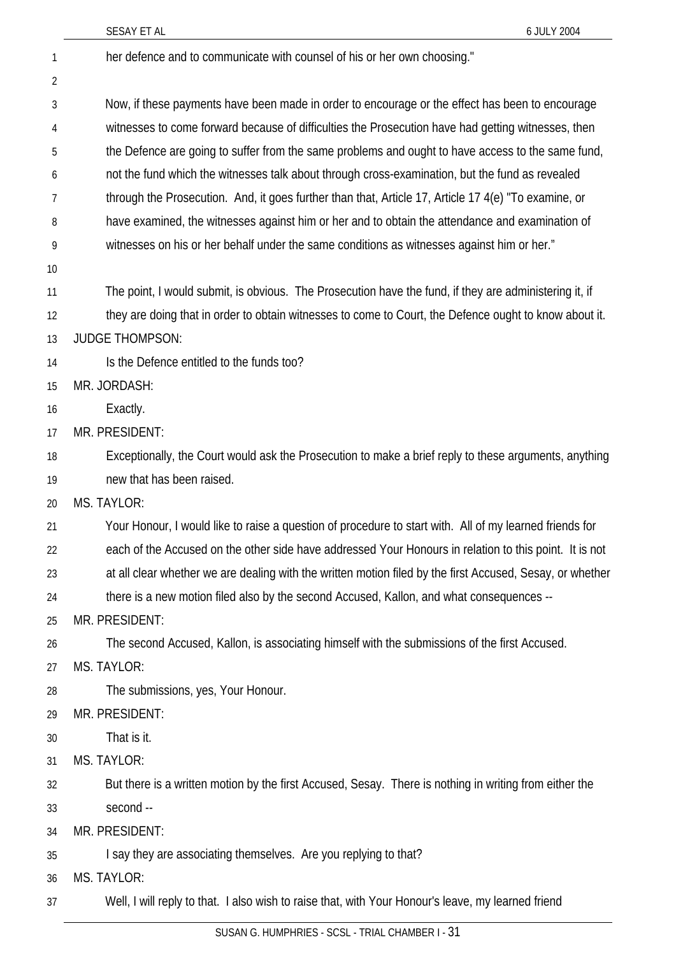|    | SESAY ET AL<br>6 JULY 2004                                                                                |
|----|-----------------------------------------------------------------------------------------------------------|
| 1  | her defence and to communicate with counsel of his or her own choosing."                                  |
| 2  |                                                                                                           |
| 3  | Now, if these payments have been made in order to encourage or the effect has been to encourage           |
| 4  | witnesses to come forward because of difficulties the Prosecution have had getting witnesses, then        |
| 5  | the Defence are going to suffer from the same problems and ought to have access to the same fund,         |
| 6  | not the fund which the witnesses talk about through cross-examination, but the fund as revealed           |
| 7  | through the Prosecution. And, it goes further than that, Article 17, Article 17 4(e) "To examine, or      |
| 8  | have examined, the witnesses against him or her and to obtain the attendance and examination of           |
| 9  | witnesses on his or her behalf under the same conditions as witnesses against him or her."                |
| 10 |                                                                                                           |
| 11 | The point, I would submit, is obvious. The Prosecution have the fund, if they are administering it, if    |
| 12 | they are doing that in order to obtain witnesses to come to Court, the Defence ought to know about it.    |
| 13 | <b>JUDGE THOMPSON:</b>                                                                                    |
| 14 | Is the Defence entitled to the funds too?                                                                 |
| 15 | MR. JORDASH:                                                                                              |
| 16 | Exactly.                                                                                                  |
| 17 | MR. PRESIDENT:                                                                                            |
| 18 | Exceptionally, the Court would ask the Prosecution to make a brief reply to these arguments, anything     |
| 19 | new that has been raised.                                                                                 |
| 20 | MS. TAYLOR:                                                                                               |
| 21 | Your Honour, I would like to raise a question of procedure to start with. All of my learned friends for   |
| 22 | each of the Accused on the other side have addressed Your Honours in relation to this point. It is not    |
| 23 | at all clear whether we are dealing with the written motion filed by the first Accused, Sesay, or whether |
| 24 | there is a new motion filed also by the second Accused, Kallon, and what consequences --                  |
| 25 | MR. PRESIDENT:                                                                                            |
| 26 | The second Accused, Kallon, is associating himself with the submissions of the first Accused.             |
| 27 | <b>MS. TAYLOR:</b>                                                                                        |
| 28 | The submissions, yes, Your Honour.                                                                        |
| 29 | MR. PRESIDENT:                                                                                            |
| 30 | That is it.                                                                                               |
| 31 | MS. TAYLOR:                                                                                               |
| 32 | But there is a written motion by the first Accused, Sesay. There is nothing in writing from either the    |
| 33 | second --                                                                                                 |
| 34 | MR. PRESIDENT:                                                                                            |
| 35 | I say they are associating themselves. Are you replying to that?                                          |
| 36 | MS. TAYLOR:                                                                                               |
| 37 | Well, I will reply to that. I also wish to raise that, with Your Honour's leave, my learned friend        |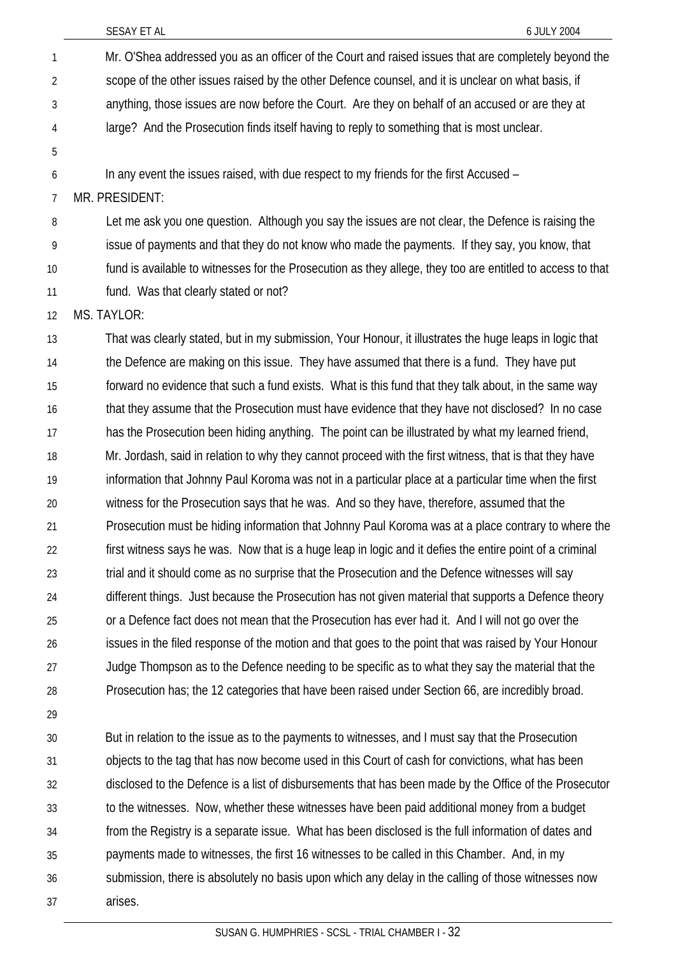- Mr. O'Shea addressed you as an officer of the Court and raised issues that are completely beyond the scope of the other issues raised by the other Defence counsel, and it is unclear on what basis, if anything, those issues are now before the Court. Are they on behalf of an accused or are they at large? And the Prosecution finds itself having to reply to something that is most unclear. 1 2 3 4
- 5 6

In any event the issues raised, with due respect to my friends for the first Accused –

7 MR. PRESIDENT:

8 9 10 11 Let me ask you one question. Although you say the issues are not clear, the Defence is raising the issue of payments and that they do not know who made the payments. If they say, you know, that fund is available to witnesses for the Prosecution as they allege, they too are entitled to access to that fund. Was that clearly stated or not?

12 MS. TAYLOR:

13 14 15 16 17 18 19 20 21 22 23 24 25 26 27 28 That was clearly stated, but in my submission, Your Honour, it illustrates the huge leaps in logic that the Defence are making on this issue. They have assumed that there is a fund. They have put forward no evidence that such a fund exists. What is this fund that they talk about, in the same way that they assume that the Prosecution must have evidence that they have not disclosed? In no case has the Prosecution been hiding anything. The point can be illustrated by what my learned friend, Mr. Jordash, said in relation to why they cannot proceed with the first witness, that is that they have information that Johnny Paul Koroma was not in a particular place at a particular time when the first witness for the Prosecution says that he was. And so they have, therefore, assumed that the Prosecution must be hiding information that Johnny Paul Koroma was at a place contrary to where the first witness says he was. Now that is a huge leap in logic and it defies the entire point of a criminal trial and it should come as no surprise that the Prosecution and the Defence witnesses will say different things. Just because the Prosecution has not given material that supports a Defence theory or a Defence fact does not mean that the Prosecution has ever had it. And I will not go over the issues in the filed response of the motion and that goes to the point that was raised by Your Honour Judge Thompson as to the Defence needing to be specific as to what they say the material that the Prosecution has; the 12 categories that have been raised under Section 66, are incredibly broad.

29

30 31 32 33 34 35 36 37 But in relation to the issue as to the payments to witnesses, and I must say that the Prosecution objects to the tag that has now become used in this Court of cash for convictions, what has been disclosed to the Defence is a list of disbursements that has been made by the Office of the Prosecutor to the witnesses. Now, whether these witnesses have been paid additional money from a budget from the Registry is a separate issue. What has been disclosed is the full information of dates and payments made to witnesses, the first 16 witnesses to be called in this Chamber. And, in my submission, there is absolutely no basis upon which any delay in the calling of those witnesses now arises.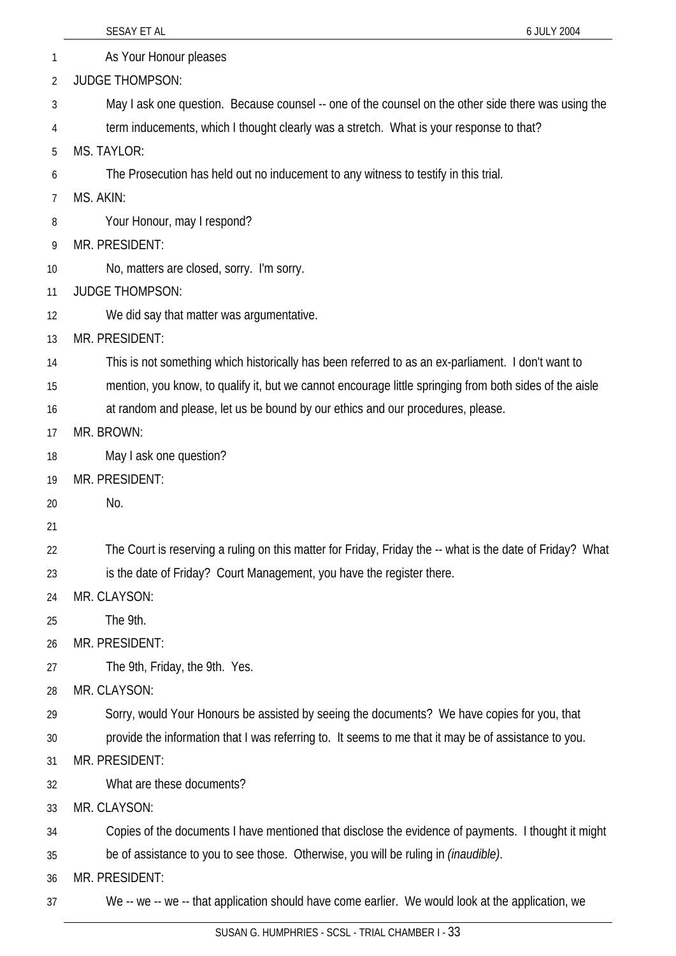|    | SESAY ET AL<br>6 JULY 2004                                                                                |
|----|-----------------------------------------------------------------------------------------------------------|
| 1  | As Your Honour pleases                                                                                    |
| 2  | <b>JUDGE THOMPSON:</b>                                                                                    |
| 3  | May I ask one question. Because counsel -- one of the counsel on the other side there was using the       |
| 4  | term inducements, which I thought clearly was a stretch. What is your response to that?                   |
| 5  | <b>MS. TAYLOR:</b>                                                                                        |
| 6  | The Prosecution has held out no inducement to any witness to testify in this trial.                       |
| 7  | MS. AKIN:                                                                                                 |
| 8  | Your Honour, may I respond?                                                                               |
| 9  | MR. PRESIDENT:                                                                                            |
| 10 | No, matters are closed, sorry. I'm sorry.                                                                 |
| 11 | <b>JUDGE THOMPSON:</b>                                                                                    |
| 12 | We did say that matter was argumentative.                                                                 |
| 13 | MR. PRESIDENT:                                                                                            |
| 14 | This is not something which historically has been referred to as an ex-parliament. I don't want to        |
| 15 | mention, you know, to qualify it, but we cannot encourage little springing from both sides of the aisle   |
| 16 | at random and please, let us be bound by our ethics and our procedures, please.                           |
| 17 | MR. BROWN:                                                                                                |
| 18 | May I ask one question?                                                                                   |
| 19 | MR. PRESIDENT:                                                                                            |
| 20 | No.                                                                                                       |
| 21 |                                                                                                           |
| 22 | The Court is reserving a ruling on this matter for Friday, Friday the -- what is the date of Friday? What |
| 23 | is the date of Friday? Court Management, you have the register there.                                     |
| 24 | MR. CLAYSON:                                                                                              |
| 25 | The 9th.                                                                                                  |
| 26 | MR. PRESIDENT:                                                                                            |
| 27 | The 9th, Friday, the 9th. Yes.                                                                            |
| 28 | MR. CLAYSON:                                                                                              |
| 29 | Sorry, would Your Honours be assisted by seeing the documents? We have copies for you, that               |
| 30 | provide the information that I was referring to. It seems to me that it may be of assistance to you.      |
| 31 | MR. PRESIDENT:                                                                                            |
| 32 | What are these documents?                                                                                 |
| 33 | MR. CLAYSON:                                                                                              |
| 34 | Copies of the documents I have mentioned that disclose the evidence of payments. I thought it might       |
| 35 | be of assistance to you to see those. Otherwise, you will be ruling in <i>(inaudible)</i> .               |
| 36 | MR. PRESIDENT:                                                                                            |
| 37 | We -- we -- we -- that application should have come earlier. We would look at the application, we         |
|    | $0.001$ TDIAL OUALIDED                                                                                    |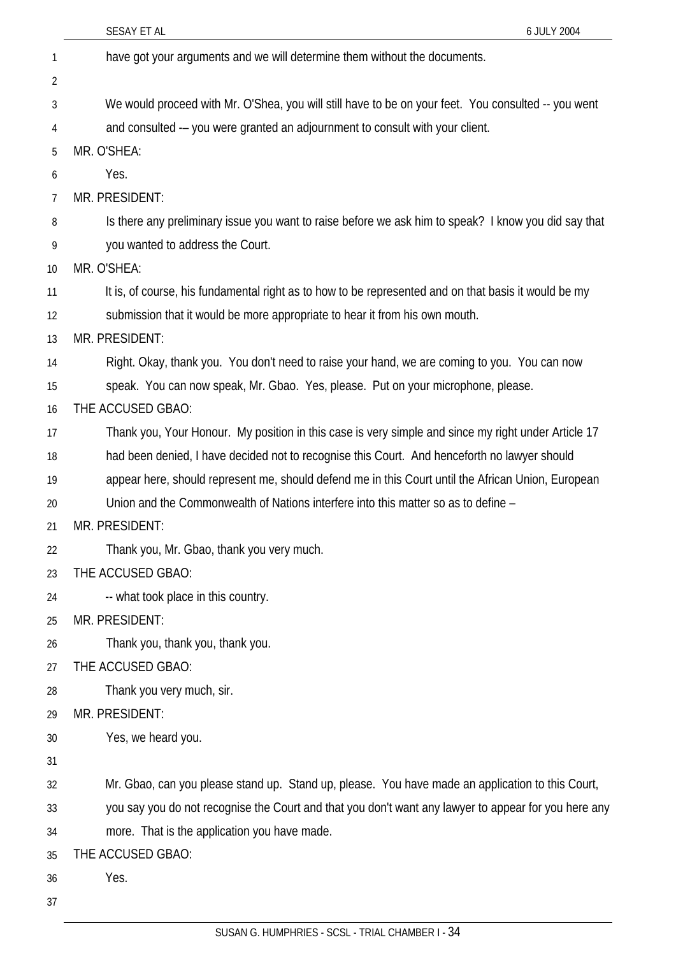|    | SESAY ET AL<br>6 JULY 2004                                                                           |
|----|------------------------------------------------------------------------------------------------------|
| 1  | have got your arguments and we will determine them without the documents.                            |
| 2  |                                                                                                      |
| 3  | We would proceed with Mr. O'Shea, you will still have to be on your feet. You consulted -- you went  |
| 4  | and consulted -- you were granted an adjournment to consult with your client.                        |
| 5  | MR. O'SHEA:                                                                                          |
| 6  | Yes.                                                                                                 |
| 7  | MR. PRESIDENT:                                                                                       |
| 8  | Is there any preliminary issue you want to raise before we ask him to speak? I know you did say that |
| 9  | you wanted to address the Court.                                                                     |
| 10 | MR. O'SHEA:                                                                                          |
| 11 | It is, of course, his fundamental right as to how to be represented and on that basis it would be my |
| 12 | submission that it would be more appropriate to hear it from his own mouth.                          |
| 13 | MR. PRESIDENT:                                                                                       |
| 14 | Right. Okay, thank you. You don't need to raise your hand, we are coming to you. You can now         |
| 15 | speak. You can now speak, Mr. Gbao. Yes, please. Put on your microphone, please.                     |
| 16 | THE ACCUSED GBAO:                                                                                    |
| 17 | Thank you, Your Honour. My position in this case is very simple and since my right under Article 17  |
| 18 | had been denied, I have decided not to recognise this Court. And henceforth no lawyer should         |
| 19 | appear here, should represent me, should defend me in this Court until the African Union, European   |
| 20 | Union and the Commonwealth of Nations interfere into this matter so as to define –                   |
| 21 | MR. PRESIDENT:                                                                                       |
| 22 | Thank you, Mr. Gbao, thank you very much.                                                            |
| 23 | THE ACCUSED GBAO:                                                                                    |
| 24 | -- what took place in this country.                                                                  |
| 25 | MR. PRESIDENT:                                                                                       |
| 26 | Thank you, thank you, thank you.                                                                     |
| 27 | THE ACCUSED GBAO:                                                                                    |
| 28 | Thank you very much, sir.                                                                            |
| 29 | MR. PRESIDENT:                                                                                       |
| 30 | Yes, we heard you.                                                                                   |
| 31 |                                                                                                      |
| 32 | Mr. Gbao, can you please stand up. Stand up, please. You have made an application to this Court,     |
| 33 | you say you do not recognise the Court and that you don't want any lawyer to appear for you here any |
| 34 | more. That is the application you have made.                                                         |
| 35 | THE ACCUSED GBAO:                                                                                    |
| 36 | Yes.                                                                                                 |
| 37 |                                                                                                      |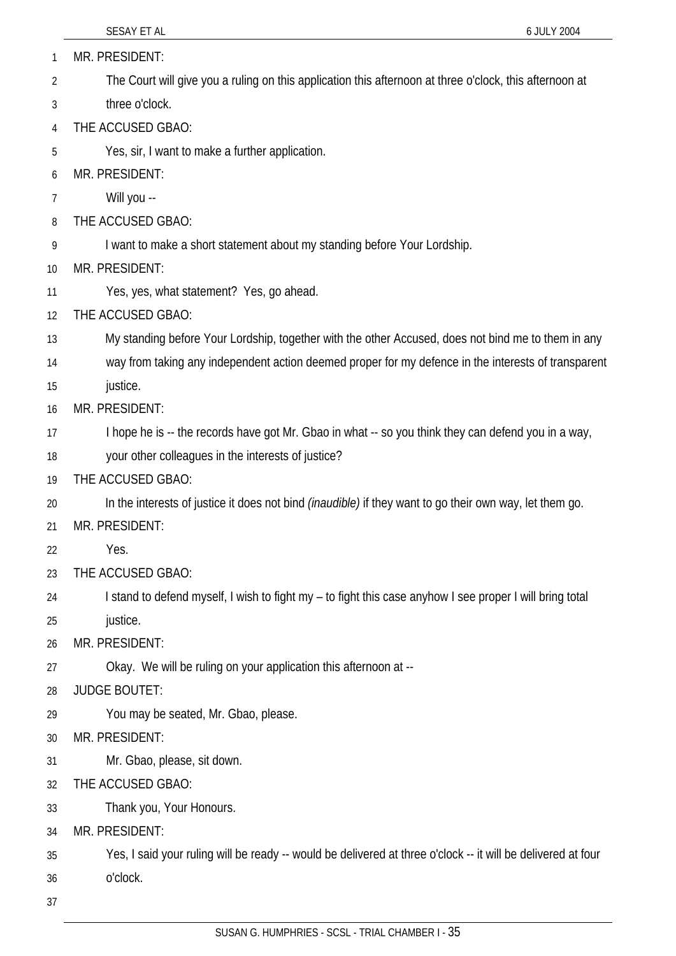MR. PRESIDENT: 1

- The Court will give you a ruling on this application this afternoon at three o'clock, this afternoon at 2
- three o'clock. 3
- 4 THE ACCUSED GBAO:
- 5 Yes, sir, I want to make a further application.
- 6 MR. PRESIDENT:
- 7 Will you --
- 8 THE ACCUSED GBAO:
- 9 I want to make a short statement about my standing before Your Lordship.
- 10 MR. PRESIDENT:
- 11 Yes, yes, what statement? Yes, go ahead.
- 12 THE ACCUSED GBAO:
- 13 My standing before Your Lordship, together with the other Accused, does not bind me to them in any
- 14 way from taking any independent action deemed proper for my defence in the interests of transparent
- 15 justice.
- 16 MR. PRESIDENT:
- 17 I hope he is -- the records have got Mr. Gbao in what -- so you think they can defend you in a way,
- 18 your other colleagues in the interests of justice?
- 19 THE ACCUSED GBAO:
- 20 In the interests of justice it does not bind *(inaudible)* if they want to go their own way, let them go.
- 21 MR. PRESIDENT:
- 22 Yes.
- 23 THE ACCUSED GBAO:
- 24 I stand to defend myself, I wish to fight my – to fight this case anyhow I see proper I will bring total
- 25 justice.
- 26 MR. PRESIDENT:
- 27 Okay. We will be ruling on your application this afternoon at --
- 28 JUDGE BOUTET:
- 29 You may be seated, Mr. Gbao, please.
- 30 MR. PRESIDENT:
- 31 Mr. Gbao, please, sit down.
- 32 THE ACCUSED GBAO:
- 33 Thank you, Your Honours.
- 34 MR. PRESIDENT:
- 35 Yes, I said your ruling will be ready -- would be delivered at three o'clock -- it will be delivered at four
- 36 o'clock.
- 37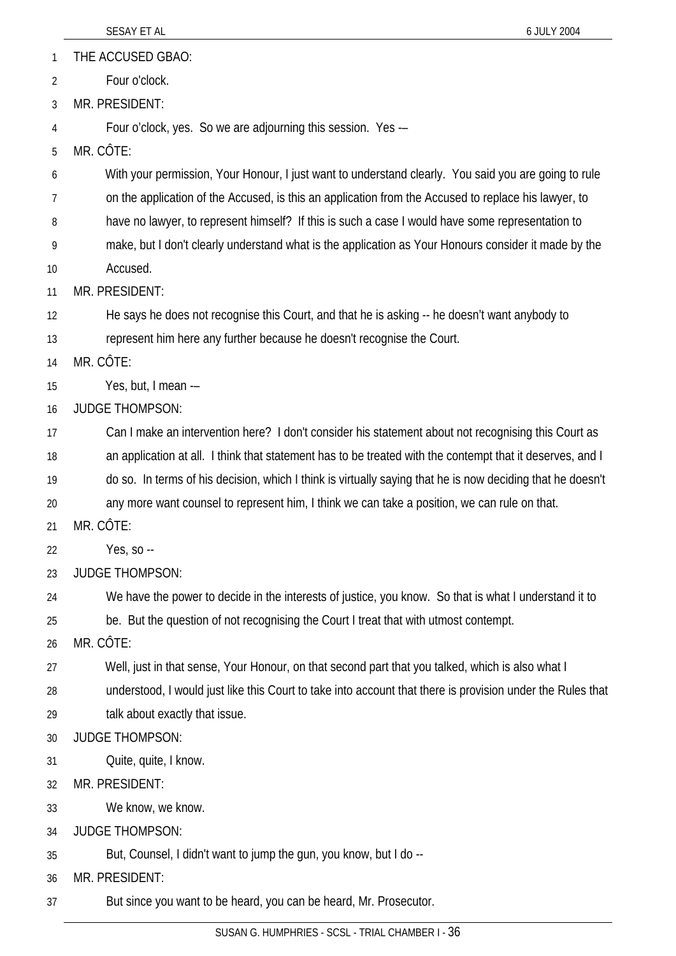THE ACCUSED GBAO: 1

Four o'clock. 2

3 MR. PRESIDENT:

4 Four o'clock, yes. So we are adjourning this session. Yes -–

5 MR. CÔTE:

6 With your permission, Your Honour, I just want to understand clearly. You said you are going to rule

7 on the application of the Accused, is this an application from the Accused to replace his lawyer, to

8 have no lawyer, to represent himself? If this is such a case I would have some representation to

9 10 make, but I don't clearly understand what is the application as Your Honours consider it made by the Accused.

11 MR. PRESIDENT:

12 He says he does not recognise this Court, and that he is asking -- he doesn't want anybody to

13 represent him here any further because he doesn't recognise the Court.

14 MR. CÔTE:

15 Yes, but, I mean -–

16 JUDGE THOMPSON:

17 Can I make an intervention here? I don't consider his statement about not recognising this Court as

18 an application at all. I think that statement has to be treated with the contempt that it deserves, and I

19 do so. In terms of his decision, which I think is virtually saying that he is now deciding that he doesn't

20 any more want counsel to represent him, I think we can take a position, we can rule on that.

21 MR. CÔTE:

22 Yes, so --

23 JUDGE THOMPSON:

24 We have the power to decide in the interests of justice, you know. So that is what I understand it to

25 be. But the question of not recognising the Court I treat that with utmost contempt.

 $26$ MR. CÔTE:

27 Well, just in that sense, Your Honour, on that second part that you talked, which is also what I

28 understood, I would just like this Court to take into account that there is provision under the Rules that

29 talk about exactly that issue.

30 JUDGE THOMPSON:

31 Quite, quite, I know.

32 MR. PRESIDENT:

33 We know, we know.

34 JUDGE THOMPSON:

35 But, Counsel, I didn't want to jump the gun, you know, but I do --

36 MR. PRESIDENT:

37 But since you want to be heard, you can be heard, Mr. Prosecutor.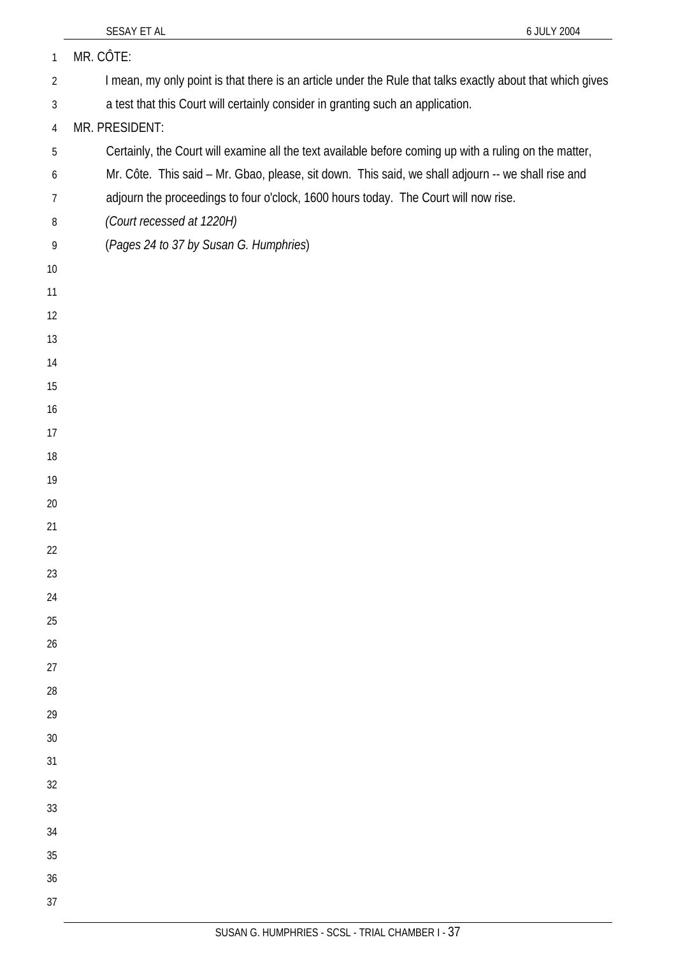| $\mathbf{1}$   | MR. CÔTE:                                                                                                  |
|----------------|------------------------------------------------------------------------------------------------------------|
| $\overline{2}$ | I mean, my only point is that there is an article under the Rule that talks exactly about that which gives |
| $\mathfrak{Z}$ | a test that this Court will certainly consider in granting such an application.                            |
| $\overline{4}$ | MR. PRESIDENT:                                                                                             |
| 5              | Certainly, the Court will examine all the text available before coming up with a ruling on the matter,     |
| 6              | Mr. Côte. This said - Mr. Gbao, please, sit down. This said, we shall adjourn -- we shall rise and         |
| $\overline{7}$ | adjourn the proceedings to four o'clock, 1600 hours today. The Court will now rise.                        |
| 8              | (Court recessed at 1220H)                                                                                  |
| 9              | (Pages 24 to 37 by Susan G. Humphries)                                                                     |
| 10             |                                                                                                            |
| 11             |                                                                                                            |
| 12             |                                                                                                            |
| 13             |                                                                                                            |
| 14             |                                                                                                            |
| 15             |                                                                                                            |
| 16             |                                                                                                            |
| 17             |                                                                                                            |
| 18             |                                                                                                            |
| 19             |                                                                                                            |
| 20             |                                                                                                            |
| 21             |                                                                                                            |
| 22             |                                                                                                            |
| 23             |                                                                                                            |
| 24             |                                                                                                            |
| 25             |                                                                                                            |
| 26             |                                                                                                            |
| 27             |                                                                                                            |
| 28             |                                                                                                            |
| 29             |                                                                                                            |
| 30             |                                                                                                            |
| 31             |                                                                                                            |
| 32             |                                                                                                            |
| 33             |                                                                                                            |
| 34             |                                                                                                            |
| 35             |                                                                                                            |
| 36             |                                                                                                            |
| 37             |                                                                                                            |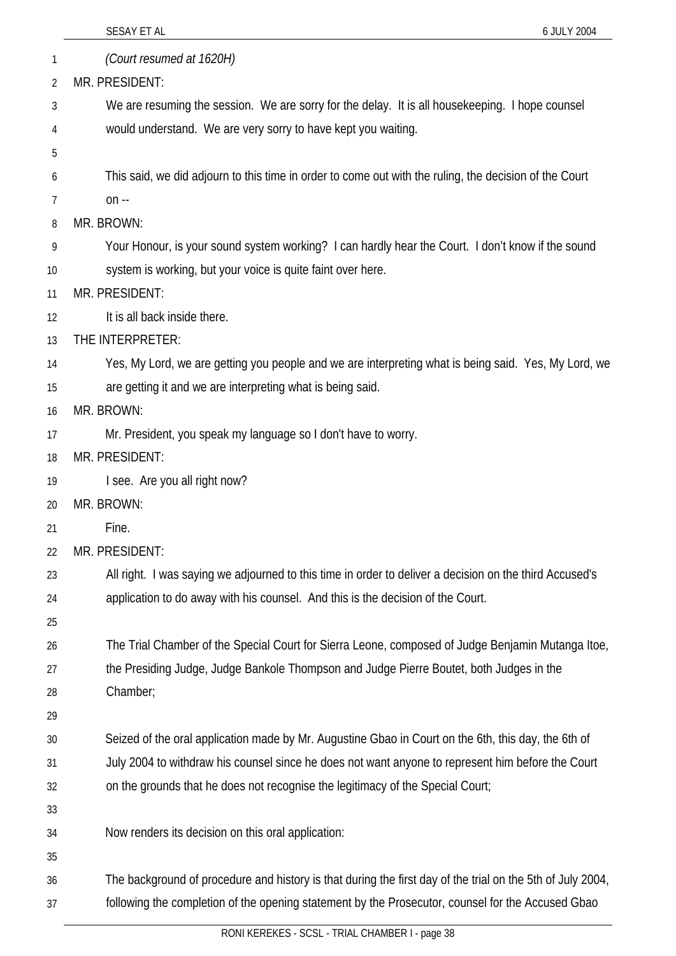|    | SESAY ET AL<br>6 JULY 2004                                                                                 |
|----|------------------------------------------------------------------------------------------------------------|
| 1  | (Court resumed at 1620H)                                                                                   |
| 2  | MR. PRESIDENT:                                                                                             |
| 3  | We are resuming the session. We are sorry for the delay. It is all housekeeping. I hope counsel            |
| 4  | would understand. We are very sorry to have kept you waiting.                                              |
| 5  |                                                                                                            |
| 6  | This said, we did adjourn to this time in order to come out with the ruling, the decision of the Court     |
| 7  | $on -$                                                                                                     |
| 8  | MR. BROWN:                                                                                                 |
| 9  | Your Honour, is your sound system working? I can hardly hear the Court. I don't know if the sound          |
| 10 | system is working, but your voice is quite faint over here.                                                |
| 11 | MR. PRESIDENT:                                                                                             |
| 12 | It is all back inside there.                                                                               |
| 13 | THE INTERPRETER:                                                                                           |
| 14 | Yes, My Lord, we are getting you people and we are interpreting what is being said. Yes, My Lord, we       |
| 15 | are getting it and we are interpreting what is being said.                                                 |
| 16 | MR. BROWN:                                                                                                 |
| 17 | Mr. President, you speak my language so I don't have to worry.                                             |
| 18 | MR. PRESIDENT:                                                                                             |
| 19 | I see. Are you all right now?                                                                              |
| 20 | MR. BROWN:                                                                                                 |
| 21 | Fine.                                                                                                      |
| 22 | MR. PRESIDENT:                                                                                             |
| 23 | All right. I was saying we adjourned to this time in order to deliver a decision on the third Accused's    |
| 24 | application to do away with his counsel. And this is the decision of the Court.                            |
| 25 |                                                                                                            |
| 26 | The Trial Chamber of the Special Court for Sierra Leone, composed of Judge Benjamin Mutanga Itoe,          |
| 27 | the Presiding Judge, Judge Bankole Thompson and Judge Pierre Boutet, both Judges in the                    |
| 28 | Chamber;                                                                                                   |
| 29 |                                                                                                            |
| 30 | Seized of the oral application made by Mr. Augustine Gbao in Court on the 6th, this day, the 6th of        |
| 31 | July 2004 to withdraw his counsel since he does not want anyone to represent him before the Court          |
| 32 | on the grounds that he does not recognise the legitimacy of the Special Court;                             |
| 33 |                                                                                                            |
| 34 | Now renders its decision on this oral application:                                                         |
| 35 |                                                                                                            |
| 36 | The background of procedure and history is that during the first day of the trial on the 5th of July 2004, |
| 37 | following the completion of the opening statement by the Prosecutor, counsel for the Accused Gbao          |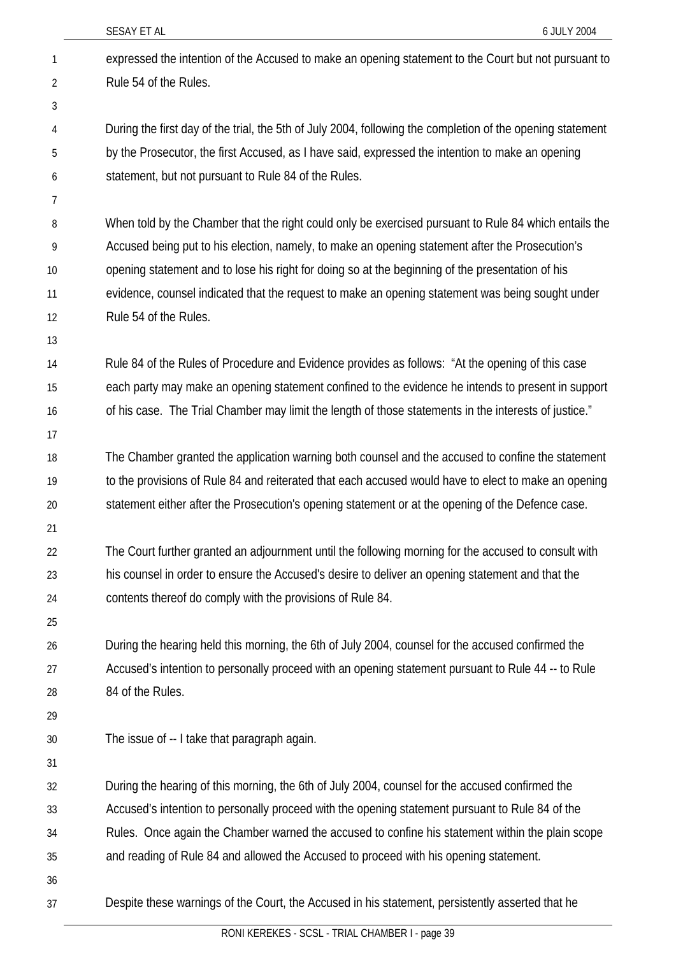|                | SESAY ET AL<br>6 JULY 2004                                                                                 |
|----------------|------------------------------------------------------------------------------------------------------------|
| $\mathbf{1}$   | expressed the intention of the Accused to make an opening statement to the Court but not pursuant to       |
| $\overline{2}$ | Rule 54 of the Rules.                                                                                      |
| 3              |                                                                                                            |
| 4              | During the first day of the trial, the 5th of July 2004, following the completion of the opening statement |
| 5              | by the Prosecutor, the first Accused, as I have said, expressed the intention to make an opening           |
| 6              | statement, but not pursuant to Rule 84 of the Rules.                                                       |
| 7              |                                                                                                            |
| 8              | When told by the Chamber that the right could only be exercised pursuant to Rule 84 which entails the      |
| 9              | Accused being put to his election, namely, to make an opening statement after the Prosecution's            |
| 10             | opening statement and to lose his right for doing so at the beginning of the presentation of his           |
| 11             | evidence, counsel indicated that the request to make an opening statement was being sought under           |
| 12             | Rule 54 of the Rules.                                                                                      |
| 13             |                                                                                                            |
| 14             | Rule 84 of the Rules of Procedure and Evidence provides as follows: "At the opening of this case           |
| 15             | each party may make an opening statement confined to the evidence he intends to present in support         |
| 16             | of his case. The Trial Chamber may limit the length of those statements in the interests of justice."      |
| 17             |                                                                                                            |
| 18             | The Chamber granted the application warning both counsel and the accused to confine the statement          |
| 19             | to the provisions of Rule 84 and reiterated that each accused would have to elect to make an opening       |
| 20             | statement either after the Prosecution's opening statement or at the opening of the Defence case.          |
| 21             |                                                                                                            |
| 22             | The Court further granted an adjournment until the following morning for the accused to consult with       |
| 23             | his counsel in order to ensure the Accused's desire to deliver an opening statement and that the           |
| 24             | contents thereof do comply with the provisions of Rule 84.                                                 |
| 25             |                                                                                                            |
| 26             | During the hearing held this morning, the 6th of July 2004, counsel for the accused confirmed the          |
| 27             | Accused's intention to personally proceed with an opening statement pursuant to Rule 44 -- to Rule         |
| 28             | 84 of the Rules.                                                                                           |
| 29             |                                                                                                            |
| 30             | The issue of -- I take that paragraph again.                                                               |
| 31             |                                                                                                            |
| 32             | During the hearing of this morning, the 6th of July 2004, counsel for the accused confirmed the            |
| 33             | Accused's intention to personally proceed with the opening statement pursuant to Rule 84 of the            |
| 34             | Rules. Once again the Chamber warned the accused to confine his statement within the plain scope           |
| 35             | and reading of Rule 84 and allowed the Accused to proceed with his opening statement.                      |
| 36             |                                                                                                            |
| 37             | Despite these warnings of the Court, the Accused in his statement, persistently asserted that he           |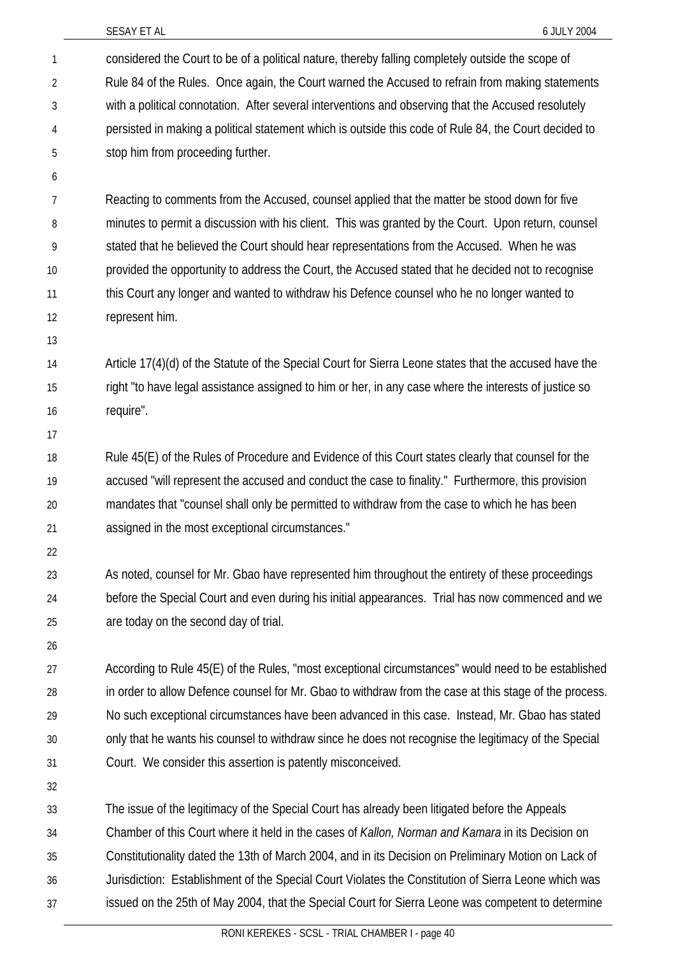| $\mathbf{1}$ | considered the Court to be of a political nature, thereby falling completely outside the scope of       |
|--------------|---------------------------------------------------------------------------------------------------------|
| 2            | Rule 84 of the Rules. Once again, the Court warned the Accused to refrain from making statements        |
| 3            | with a political connotation. After several interventions and observing that the Accused resolutely     |
| 4            | persisted in making a political statement which is outside this code of Rule 84, the Court decided to   |
| 5            | stop him from proceeding further.                                                                       |
| 6            |                                                                                                         |
| 7            | Reacting to comments from the Accused, counsel applied that the matter be stood down for five           |
| 8            | minutes to permit a discussion with his client. This was granted by the Court. Upon return, counsel     |
| 9            | stated that he believed the Court should hear representations from the Accused. When he was             |
| $10 \,$      | provided the opportunity to address the Court, the Accused stated that he decided not to recognise      |
| 11           | this Court any longer and wanted to withdraw his Defence counsel who he no longer wanted to             |
| 12           | represent him.                                                                                          |
| 13           |                                                                                                         |
| 14           | Article 17(4)(d) of the Statute of the Special Court for Sierra Leone states that the accused have the  |
| 15           | right "to have legal assistance assigned to him or her, in any case where the interests of justice so   |
| 16           | require".                                                                                               |
| 17           |                                                                                                         |
| 18           | Rule 45(E) of the Rules of Procedure and Evidence of this Court states clearly that counsel for the     |
| 19           | accused "will represent the accused and conduct the case to finality." Furthermore, this provision      |
| 20           | mandates that "counsel shall only be permitted to withdraw from the case to which he has been           |
| 21           | assigned in the most exceptional circumstances."                                                        |
| 22           |                                                                                                         |
| 23           | As noted, counsel for Mr. Gbao have represented him throughout the entirety of these proceedings        |
| 24           | before the Special Court and even during his initial appearances. Trial has now commenced and we        |
| 25           | are today on the second day of trial.                                                                   |
| 26           |                                                                                                         |
| 27           | According to Rule 45(E) of the Rules, "most exceptional circumstances" would need to be established     |
| 28           | in order to allow Defence counsel for Mr. Gbao to withdraw from the case at this stage of the process.  |
| 29           | No such exceptional circumstances have been advanced in this case. Instead, Mr. Gbao has stated         |
| 30           | only that he wants his counsel to withdraw since he does not recognise the legitimacy of the Special    |
| 31           | Court. We consider this assertion is patently misconceived.                                             |
| 32           |                                                                                                         |
| 33           | The issue of the legitimacy of the Special Court has already been litigated before the Appeals          |
| 34           | Chamber of this Court where it held in the cases of <i>Kallon, Norman and Kamara</i> in its Decision on |
| 35           | Constitutionality dated the 13th of March 2004, and in its Decision on Preliminary Motion on Lack of    |
| 36           | Jurisdiction: Establishment of the Special Court Violates the Constitution of Sierra Leone which was    |
| 37           | issued on the 25th of May 2004, that the Special Court for Sierra Leone was competent to determine      |
|              |                                                                                                         |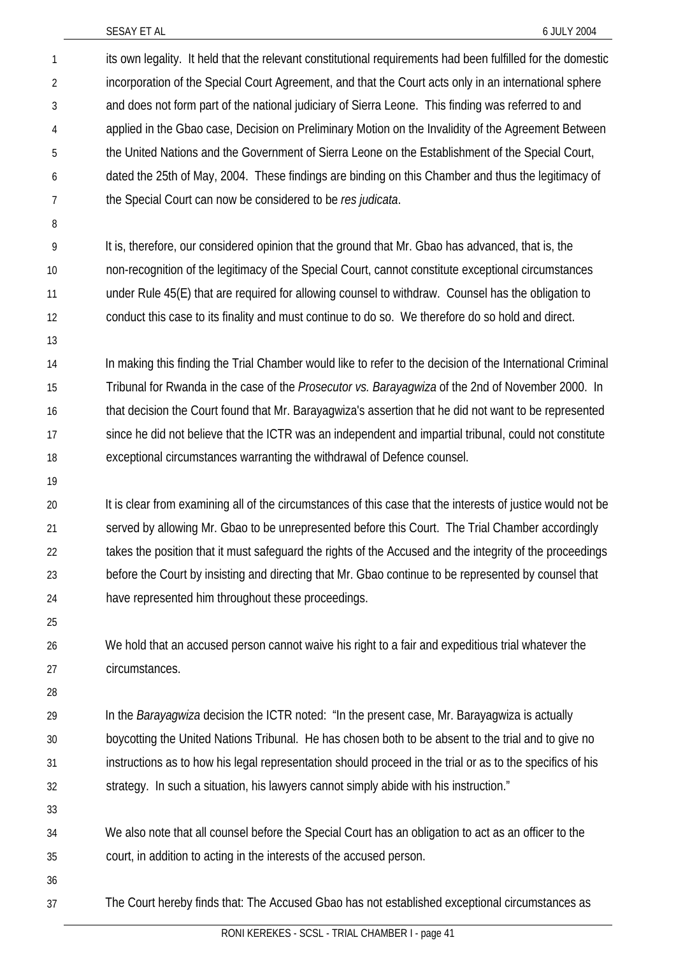| 1              | its own legality. It held that the relevant constitutional requirements had been fulfilled for the domestic |
|----------------|-------------------------------------------------------------------------------------------------------------|
| $\overline{2}$ | incorporation of the Special Court Agreement, and that the Court acts only in an international sphere       |
| 3              | and does not form part of the national judiciary of Sierra Leone. This finding was referred to and          |
| 4              | applied in the Gbao case, Decision on Preliminary Motion on the Invalidity of the Agreement Between         |
| 5              | the United Nations and the Government of Sierra Leone on the Establishment of the Special Court,            |
| 6              | dated the 25th of May, 2004. These findings are binding on this Chamber and thus the legitimacy of          |
| $\overline{7}$ | the Special Court can now be considered to be res judicata.                                                 |
| 8              |                                                                                                             |
| 9              | It is, therefore, our considered opinion that the ground that Mr. Gbao has advanced, that is, the           |
| 10             | non-recognition of the legitimacy of the Special Court, cannot constitute exceptional circumstances         |
| 11             | under Rule 45(E) that are required for allowing counsel to withdraw. Counsel has the obligation to          |
| 12             | conduct this case to its finality and must continue to do so. We therefore do so hold and direct.           |
| 13             |                                                                                                             |
| 14             | In making this finding the Trial Chamber would like to refer to the decision of the International Criminal  |
| 15             | Tribunal for Rwanda in the case of the Prosecutor vs. Barayagwiza of the 2nd of November 2000. In           |
| 16             | that decision the Court found that Mr. Barayagwiza's assertion that he did not want to be represented       |
| 17             | since he did not believe that the ICTR was an independent and impartial tribunal, could not constitute      |
| 18             | exceptional circumstances warranting the withdrawal of Defence counsel.                                     |
| 19             |                                                                                                             |
| 20             | It is clear from examining all of the circumstances of this case that the interests of justice would not be |
| 21             | served by allowing Mr. Gbao to be unrepresented before this Court. The Trial Chamber accordingly            |
| 22             | takes the position that it must safeguard the rights of the Accused and the integrity of the proceedings    |
| 23             | before the Court by insisting and directing that Mr. Gbao continue to be represented by counsel that        |
| 24             | have represented him throughout these proceedings.                                                          |
| 25             |                                                                                                             |
| 26             | We hold that an accused person cannot waive his right to a fair and expeditious trial whatever the          |
| 27             | circumstances.                                                                                              |
| 28             |                                                                                                             |
| 29             | In the <i>Barayagwiza</i> decision the ICTR noted: "In the present case, Mr. Barayagwiza is actually        |
| 30             | boycotting the United Nations Tribunal. He has chosen both to be absent to the trial and to give no         |
| 31             | instructions as to how his legal representation should proceed in the trial or as to the specifics of his   |
| 32             | strategy. In such a situation, his lawyers cannot simply abide with his instruction."                       |
| 33             |                                                                                                             |
| 34             | We also note that all counsel before the Special Court has an obligation to act as an officer to the        |
| 35             | court, in addition to acting in the interests of the accused person.                                        |
| 36             |                                                                                                             |
| 37             | The Court hereby finds that: The Accused Gbao has not established exceptional circumstances as              |
|                |                                                                                                             |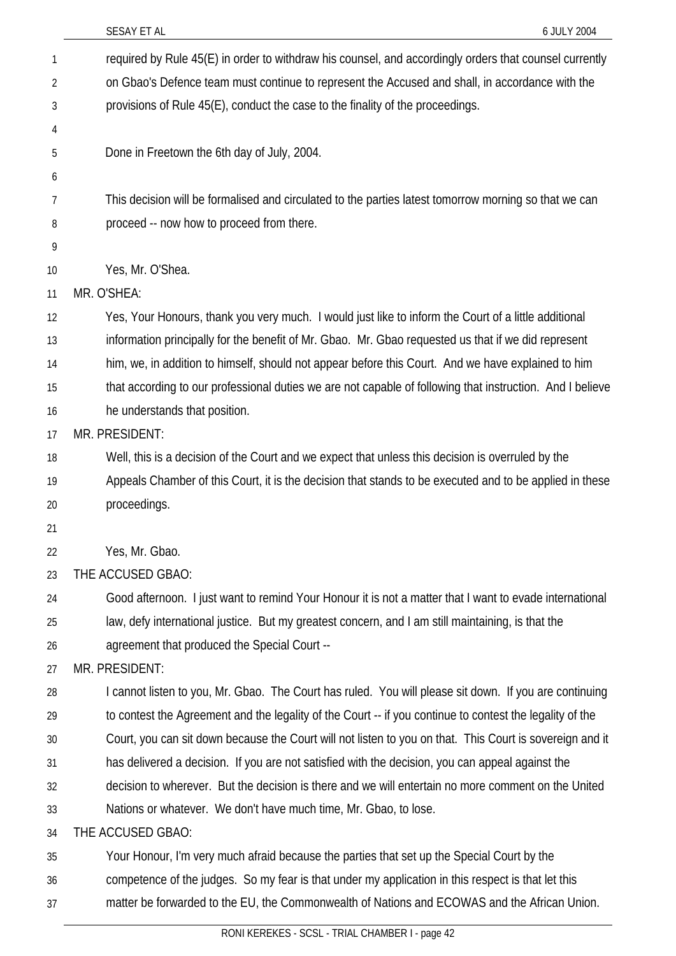| SESAY ET AL                                                                                                                                                                                                        | 6 JULY 2004 |
|--------------------------------------------------------------------------------------------------------------------------------------------------------------------------------------------------------------------|-------------|
| required by Rule 45(E) in order to withdraw his counsel, and accordingly orders that counsel currently<br>1                                                                                                        |             |
| on Gbao's Defence team must continue to represent the Accused and shall, in accordance with the<br>2                                                                                                               |             |
| provisions of Rule 45(E), conduct the case to the finality of the proceedings.<br>3                                                                                                                                |             |
| 4                                                                                                                                                                                                                  |             |
| Done in Freetown the 6th day of July, 2004.<br>5                                                                                                                                                                   |             |
| 6                                                                                                                                                                                                                  |             |
| This decision will be formalised and circulated to the parties latest tomorrow morning so that we can<br>7                                                                                                         |             |
| proceed -- now how to proceed from there.<br>8                                                                                                                                                                     |             |
| 9                                                                                                                                                                                                                  |             |
| Yes, Mr. O'Shea.<br>10                                                                                                                                                                                             |             |
| MR. O'SHEA:<br>11                                                                                                                                                                                                  |             |
| Yes, Your Honours, thank you very much. I would just like to inform the Court of a little additional<br>12                                                                                                         |             |
| information principally for the benefit of Mr. Gbao. Mr. Gbao requested us that if we did represent<br>13                                                                                                          |             |
| him, we, in addition to himself, should not appear before this Court. And we have explained to him<br>14                                                                                                           |             |
| that according to our professional duties we are not capable of following that instruction. And I believe<br>15                                                                                                    |             |
| he understands that position.<br>16                                                                                                                                                                                |             |
| MR. PRESIDENT:<br>17                                                                                                                                                                                               |             |
| Well, this is a decision of the Court and we expect that unless this decision is overruled by the<br>18                                                                                                            |             |
| Appeals Chamber of this Court, it is the decision that stands to be executed and to be applied in these<br>19                                                                                                      |             |
| proceedings.<br>20                                                                                                                                                                                                 |             |
| 21                                                                                                                                                                                                                 |             |
| Yes, Mr. Gbao.<br>22                                                                                                                                                                                               |             |
| THE ACCUSED GBAO:<br>23                                                                                                                                                                                            |             |
| Good afternoon. I just want to remind Your Honour it is not a matter that I want to evade international<br>24                                                                                                      |             |
| law, defy international justice. But my greatest concern, and I am still maintaining, is that the<br>25                                                                                                            |             |
| agreement that produced the Special Court --<br>26                                                                                                                                                                 |             |
| MR. PRESIDENT:<br>27                                                                                                                                                                                               |             |
| I cannot listen to you, Mr. Gbao. The Court has ruled. You will please sit down. If you are continuing<br>28                                                                                                       |             |
| to contest the Agreement and the legality of the Court -- if you continue to contest the legality of the<br>29                                                                                                     |             |
| Court, you can sit down because the Court will not listen to you on that. This Court is sovereign and it<br>30<br>has delivered a decision. If you are not satisfied with the decision, you can appeal against the |             |
| 31<br>decision to wherever. But the decision is there and we will entertain no more comment on the United<br>32                                                                                                    |             |
| Nations or whatever. We don't have much time, Mr. Gbao, to lose.<br>33                                                                                                                                             |             |
| THE ACCUSED GBAO:<br>34                                                                                                                                                                                            |             |
| Your Honour, I'm very much afraid because the parties that set up the Special Court by the<br>35                                                                                                                   |             |
| competence of the judges. So my fear is that under my application in this respect is that let this<br>36                                                                                                           |             |
| matter be forwarded to the EU, the Commonwealth of Nations and ECOWAS and the African Union.<br>37                                                                                                                 |             |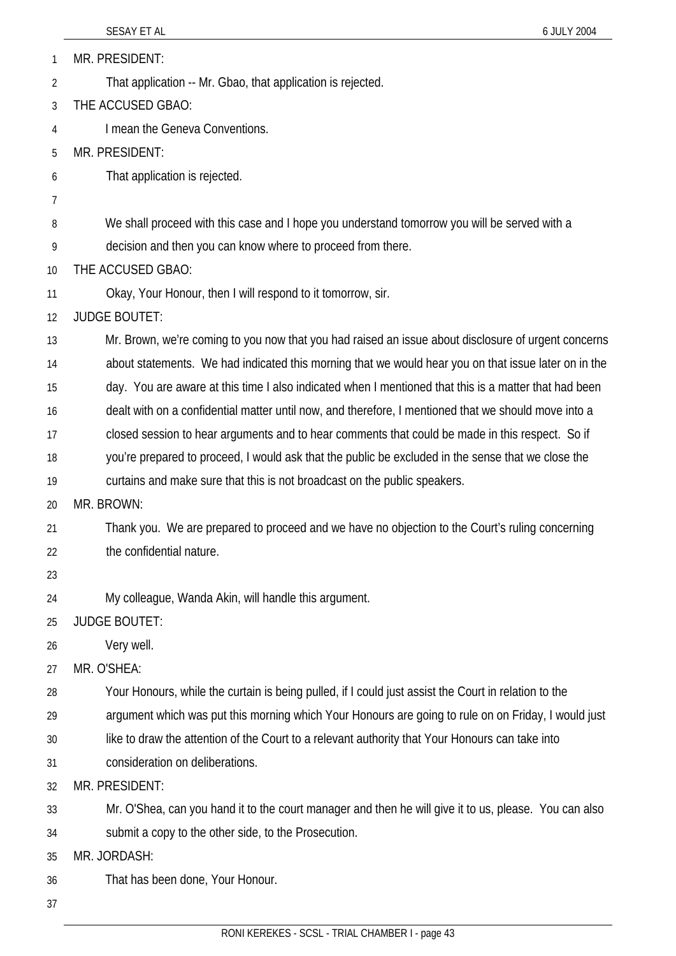MR. PRESIDENT: 1

- That application -- Mr. Gbao, that application is rejected. 2
- 3 THE ACCUSED GBAO:
- 4 I mean the Geneva Conventions.
- 5 MR. PRESIDENT:
- 6 That application is rejected.
- 7
- 8 We shall proceed with this case and I hope you understand tomorrow you will be served with a
- 9 decision and then you can know where to proceed from there.
- 10 THE ACCUSED GBAO:
- 11 Okay, Your Honour, then I will respond to it tomorrow, sir.
- 12 JUDGE BOUTET:

13 14 Mr. Brown, we're coming to you now that you had raised an issue about disclosure of urgent concerns about statements. We had indicated this morning that we would hear you on that issue later on in the

- 15 day. You are aware at this time I also indicated when I mentioned that this is a matter that had been
- 16 dealt with on a confidential matter until now, and therefore, I mentioned that we should move into a
- 17 closed session to hear arguments and to hear comments that could be made in this respect. So if
- 18 you're prepared to proceed, I would ask that the public be excluded in the sense that we close the
- 19 curtains and make sure that this is not broadcast on the public speakers.
- 20 MR. BROWN:
- 21 22 Thank you. We are prepared to proceed and we have no objection to the Court's ruling concerning the confidential nature.
- 23
- 24 My colleague, Wanda Akin, will handle this argument.
- 25 JUDGE BOUTET:
- 26 Very well.
- 27 MR. O'SHEA:

28 Your Honours, while the curtain is being pulled, if I could just assist the Court in relation to the

29 argument which was put this morning which Your Honours are going to rule on on Friday, I would just

- 30 like to draw the attention of the Court to a relevant authority that Your Honours can take into
- 31 consideration on deliberations.

32 MR. PRESIDENT:

33 34 Mr. O'Shea, can you hand it to the court manager and then he will give it to us, please. You can also submit a copy to the other side, to the Prosecution.

35 MR. JORDASH:

- 36 That has been done, Your Honour.
- 37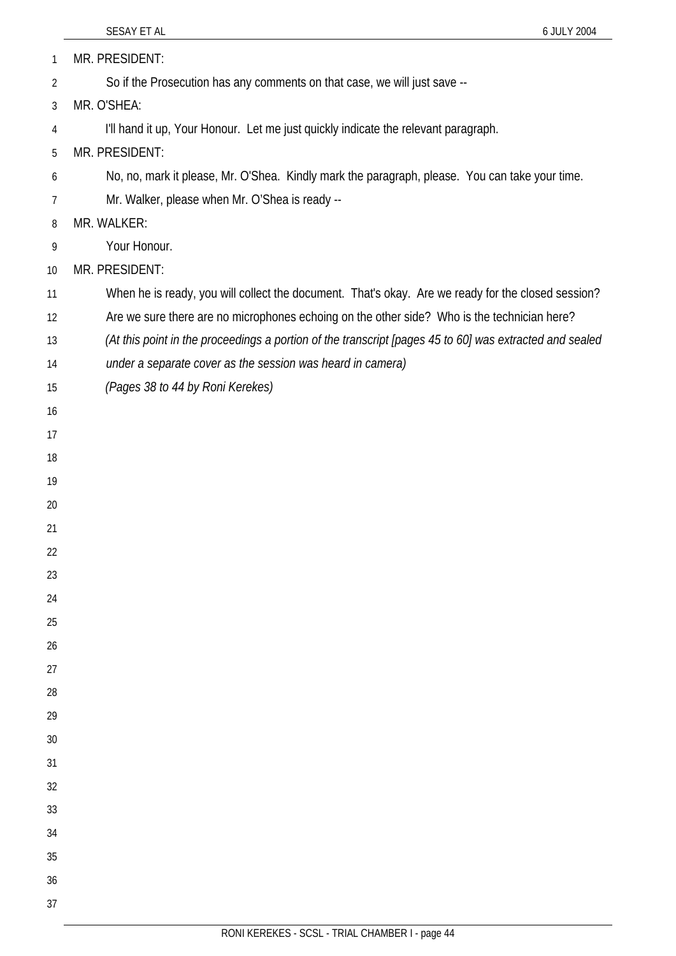|          | SESAY ET AL<br>6 JULY 2004                                                                              |
|----------|---------------------------------------------------------------------------------------------------------|
| 1        | MR. PRESIDENT:                                                                                          |
| 2        | So if the Prosecution has any comments on that case, we will just save --                               |
| 3        | MR. O'SHEA:                                                                                             |
| 4        | I'll hand it up, Your Honour. Let me just quickly indicate the relevant paragraph.                      |
| 5        | MR. PRESIDENT:                                                                                          |
| 6        | No, no, mark it please, Mr. O'Shea. Kindly mark the paragraph, please. You can take your time.          |
| 7        | Mr. Walker, please when Mr. O'Shea is ready --                                                          |
| 8        | MR. WALKER:                                                                                             |
| 9        | Your Honour.                                                                                            |
| 10       | MR. PRESIDENT:                                                                                          |
| 11       | When he is ready, you will collect the document. That's okay. Are we ready for the closed session?      |
| 12       | Are we sure there are no microphones echoing on the other side? Who is the technician here?             |
| 13       | (At this point in the proceedings a portion of the transcript [pages 45 to 60] was extracted and sealed |
| 14       | under a separate cover as the session was heard in camera)                                              |
| 15       | (Pages 38 to 44 by Roni Kerekes)                                                                        |
| 16       |                                                                                                         |
| 17       |                                                                                                         |
| 18       |                                                                                                         |
| 19       |                                                                                                         |
| 20       |                                                                                                         |
| 21       |                                                                                                         |
| 22       |                                                                                                         |
| 23       |                                                                                                         |
| 24       |                                                                                                         |
| 25       |                                                                                                         |
| 26       |                                                                                                         |
| 27       |                                                                                                         |
| 28       |                                                                                                         |
| 29       |                                                                                                         |
| 30       |                                                                                                         |
| 31       |                                                                                                         |
| 32       |                                                                                                         |
| 33       |                                                                                                         |
| 34       |                                                                                                         |
| 35       |                                                                                                         |
| 36<br>37 |                                                                                                         |
|          |                                                                                                         |